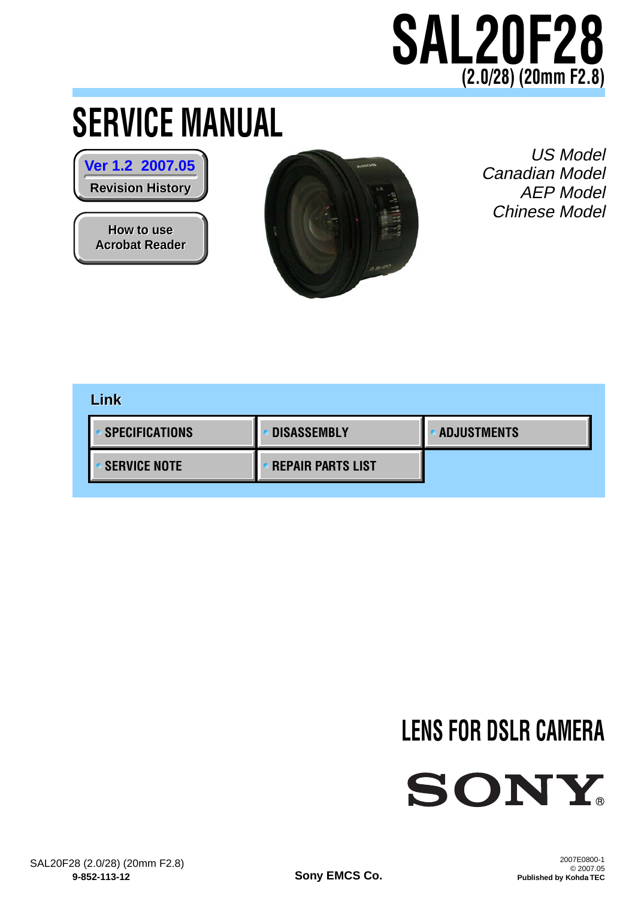# **SAL20F28 (2.0/28) (20mm F2.8)**

# <span id="page-0-0"></span>**SERVICE MANUAL**

**Revision History Revision History [Ver 1.2 2007.05](#page-46-0)**

**How to use How to use [Acrobat Reader](#page-45-0) Acrobat Reader**



US Model Canadian Model AEP Model Chinese Model

## **[SERVICE NOTE](#page-3-0) [SPECIFICATIONS](#page-1-0) [REPAIR PARTS LIST](#page-22-0) [DISASSEMBLY](#page-7-0) [ADJUSTMENTS](#page-28-0) Link**

# **LENS FOR DSLR CAMERA**



**Sony EMCS Co.**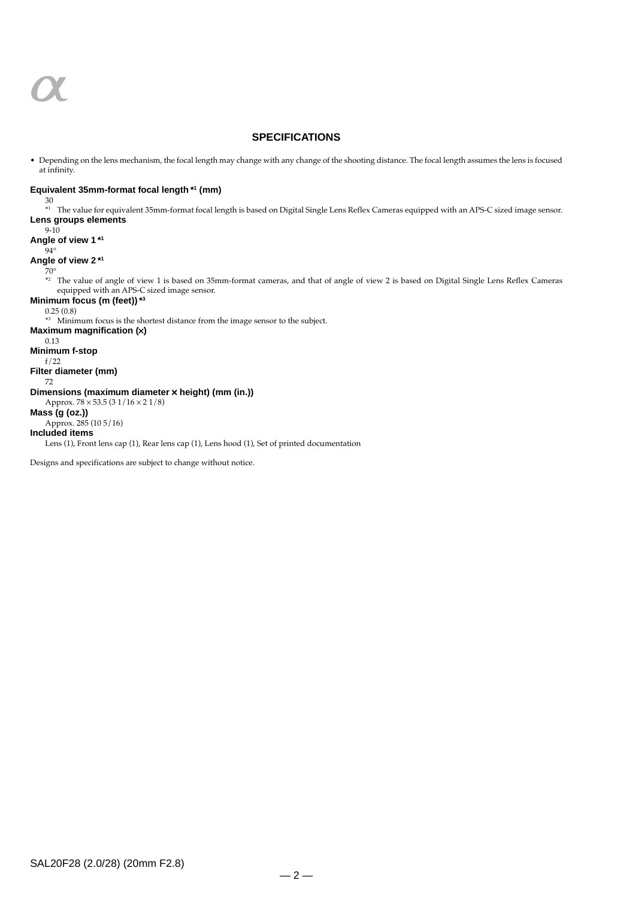<span id="page-1-0"></span>

#### **SPECIFICATIONS**

• Depending on the lens mechanism, the focal length may change with any change of the shooting distance. The focal length assumes the lens is focused at infinity.

#### **Equivalent 35mm-format focal length \*1 (mm)**

30 \*1 The value for equivalent 35mm-format focal length is based on Digital Single Lens Reflex Cameras equipped with an APS-C sized image sensor. **Lens groups elements**

9-10 **Angle of view 1 \*1**  $94^\circ$ **Angle of view 2 \*1** 70°  $*$ <sup>2</sup> The value of angle of view 1 is based on 35mm-format cameras, and that of angle of view 2 is based on Digital Single Lens Reflex Cameras equipped with an APS-C sized image sensor. **Minimum focus (m (feet))\*3** 0.25 (0.8) \*3 Minimum focus is the shortest distance from the image sensor to the subject. **Maximum magnification (**×**)** 0.13 **Minimum f-stop** f/22 **Filter diameter (mm)** 72 **Dimensions (maximum diameter** × **height) (mm (in.))** Approx. 78 × 53.5 (3 1/16 × 2 1/8) **Mass (g (oz.))** Approx. 285 (10 5/16) **Included items** Lens (1), Front lens cap (1), Rear lens cap (1), Lens hood (1), Set of printed documentation

Designs and specifications are subject to change without notice.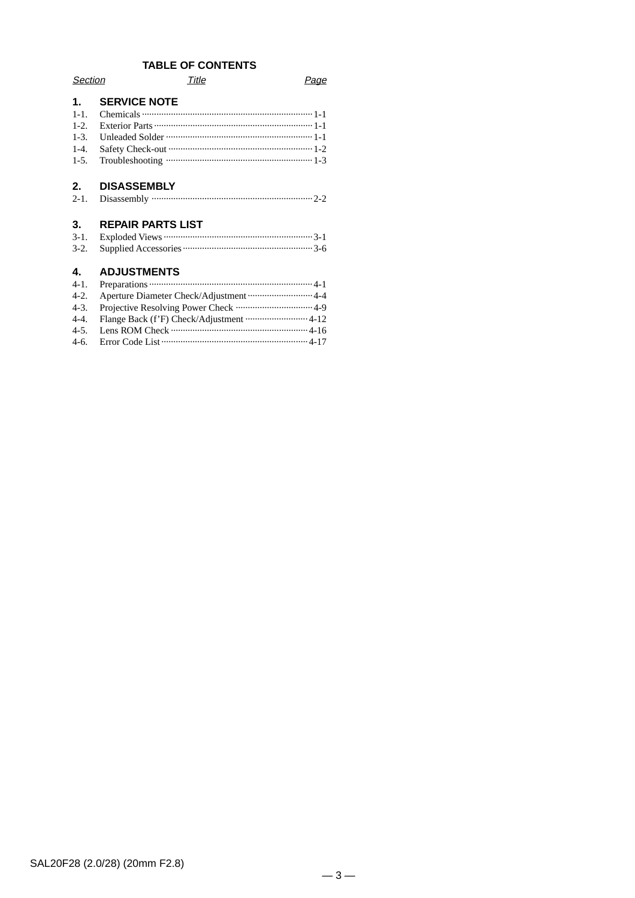## **TABLE OF CONTENTS**

| Section                             |                          | Title |  |
|-------------------------------------|--------------------------|-------|--|
| 1.<br>$1 - 1$ .<br>$1-2.$<br>$1-3.$ | <b>SERVICE NOTE</b>      |       |  |
| $1-4$ .<br>$1-5.$                   |                          |       |  |
| $2_{\cdot}$<br>$2 - 1$ .            | <b>DISASSEMBLY</b>       |       |  |
| 3.<br>$3 - 1$ .<br>$3-2.$           | <b>REPAIR PARTS LIST</b> |       |  |

#### **4. ADJUSTMENTS**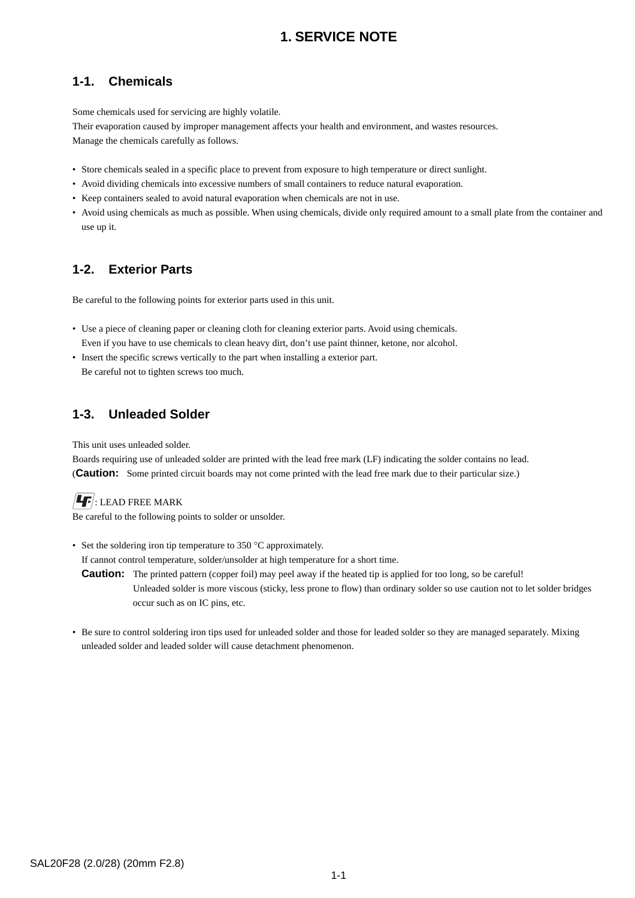## **1. SERVICE NOTE**

## <span id="page-3-0"></span>**1-1. Chemicals**

Some chemicals used for servicing are highly volatile.

Their evaporation caused by improper management affects your health and environment, and wastes resources. Manage the chemicals carefully as follows.

- Store chemicals sealed in a specific place to prevent from exposure to high temperature or direct sunlight.
- Avoid dividing chemicals into excessive numbers of small containers to reduce natural evaporation.
- Keep containers sealed to avoid natural evaporation when chemicals are not in use.
- Avoid using chemicals as much as possible. When using chemicals, divide only required amount to a small plate from the container and use up it.

## **1-2. Exterior Parts**

Be careful to the following points for exterior parts used in this unit.

- Use a piece of cleaning paper or cleaning cloth for cleaning exterior parts. Avoid using chemicals. Even if you have to use chemicals to clean heavy dirt, don't use paint thinner, ketone, nor alcohol.
- Insert the specific screws vertically to the part when installing a exterior part. Be careful not to tighten screws too much.

## **1-3. Unleaded Solder**

This unit uses unleaded solder.

Boards requiring use of unleaded solder are printed with the lead free mark (LF) indicating the solder contains no lead. (**Caution:** Some printed circuit boards may not come printed with the lead free mark due to their particular size.)

## $\left| \rule{0pt}{13pt} \right|$ : LEAD FREE MARK

Be careful to the following points to solder or unsolder.

• Set the soldering iron tip temperature to 350 °C approximately.

If cannot control temperature, solder/unsolder at high temperature for a short time.

- **Caution:** The printed pattern (copper foil) may peel away if the heated tip is applied for too long, so be careful! Unleaded solder is more viscous (sticky, less prone to flow) than ordinary solder so use caution not to let solder bridges occur such as on IC pins, etc.
- Be sure to control soldering iron tips used for unleaded solder and those for leaded solder so they are managed separately. Mixing unleaded solder and leaded solder will cause detachment phenomenon.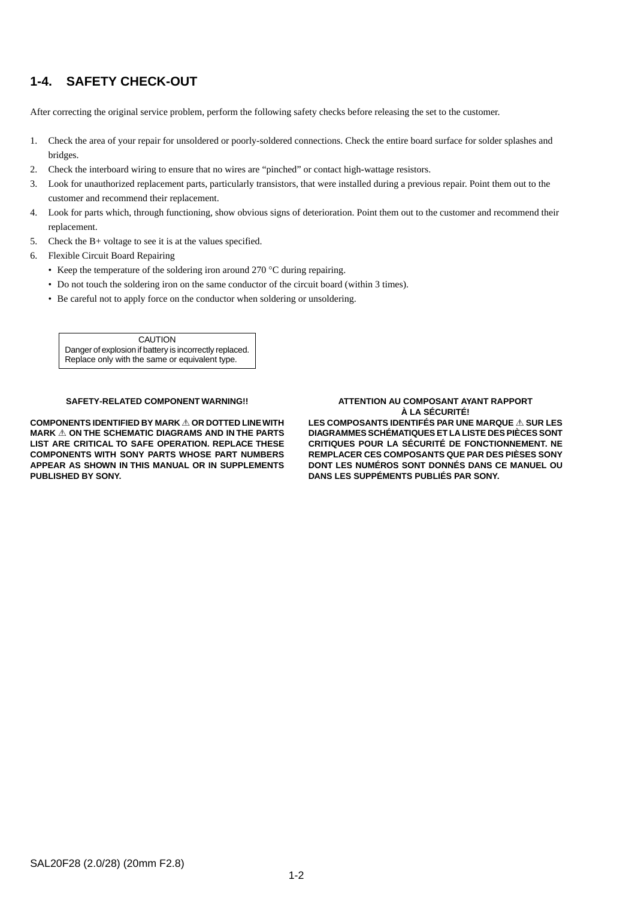## **1-4. SAFETY CHECK-OUT**

After correcting the original service problem, perform the following safety checks before releasing the set to the customer.

- 1. Check the area of your repair for unsoldered or poorly-soldered connections. Check the entire board surface for solder splashes and bridges.
- 2. Check the interboard wiring to ensure that no wires are "pinched" or contact high-wattage resistors.
- 3. Look for unauthorized replacement parts, particularly transistors, that were installed during a previous repair. Point them out to the customer and recommend their replacement.
- 4. Look for parts which, through functioning, show obvious signs of deterioration. Point them out to the customer and recommend their replacement.
- 5. Check the B+ voltage to see it is at the values specified.
- 6. Flexible Circuit Board Repairing
	- Keep the temperature of the soldering iron around 270 °C during repairing.
	- Do not touch the soldering iron on the same conductor of the circuit board (within 3 times).
	- Be careful not to apply force on the conductor when soldering or unsoldering.

**CAUTION** Danger of explosion if battery is incorrectly replaced. Replace only with the same or equivalent type.

#### **SAFETY-RELATED COMPONENT WARNING!!**

**COMPONENTS IDENTIFIED BY MARK** 0 **OR DOTTED LINE WITH MARK** 0 **ON THE SCHEMATIC DIAGRAMS AND IN THE PARTS LIST ARE CRITICAL TO SAFE OPERATION. REPLACE THESE COMPONENTS WITH SONY PARTS WHOSE PART NUMBERS APPEAR AS SHOWN IN THIS MANUAL OR IN SUPPLEMENTS PUBLISHED BY SONY.**

#### **ATTENTION AU COMPOSANT AYANT RAPPORT À LA SÉCURITÉ! LES COMPOSANTS IDENTIFÉS PAR UNE MARQUE** 0 **SUR LES**

**DIAGRAMMES SCHÉMATIQUES ET LA LISTE DES PIÈCES SONT CRITIQUES POUR LA SÉCURITÉ DE FONCTIONNEMENT. NE REMPLACER CES COMPOSANTS QUE PAR DES PIÈSES SONY DONT LES NUMÉROS SONT DONNÉS DANS CE MANUEL OU DANS LES SUPPÉMENTS PUBLIÉS PAR SONY.**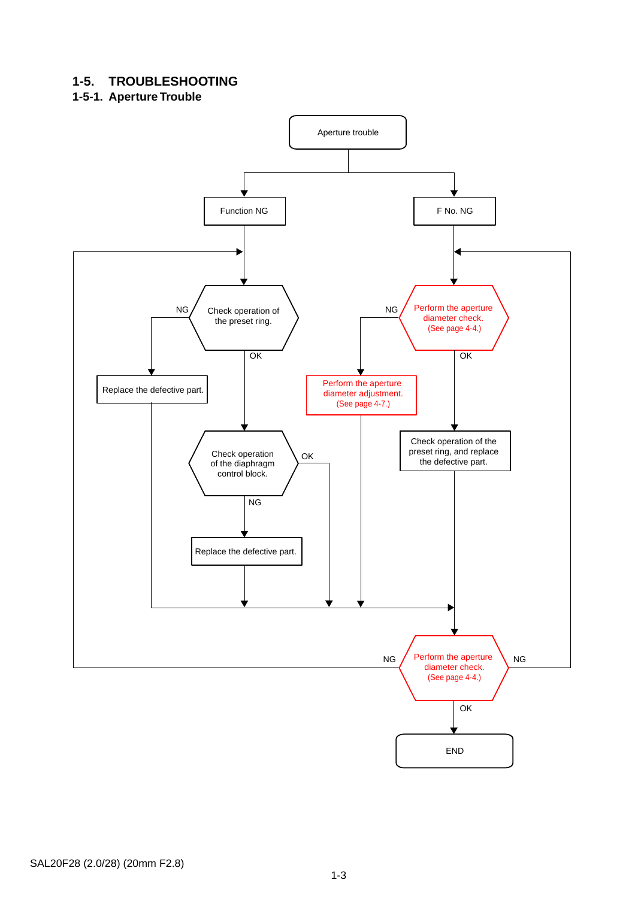## **1-5. TROUBLESHOOTING**

## **1-5-1. Aperture Trouble**

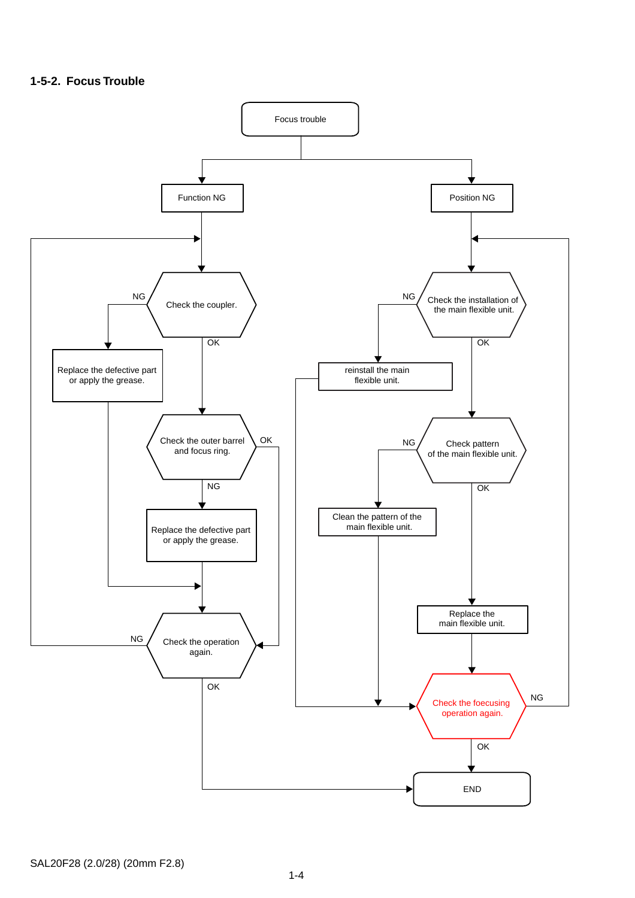#### **1-5-2. Focus Trouble**

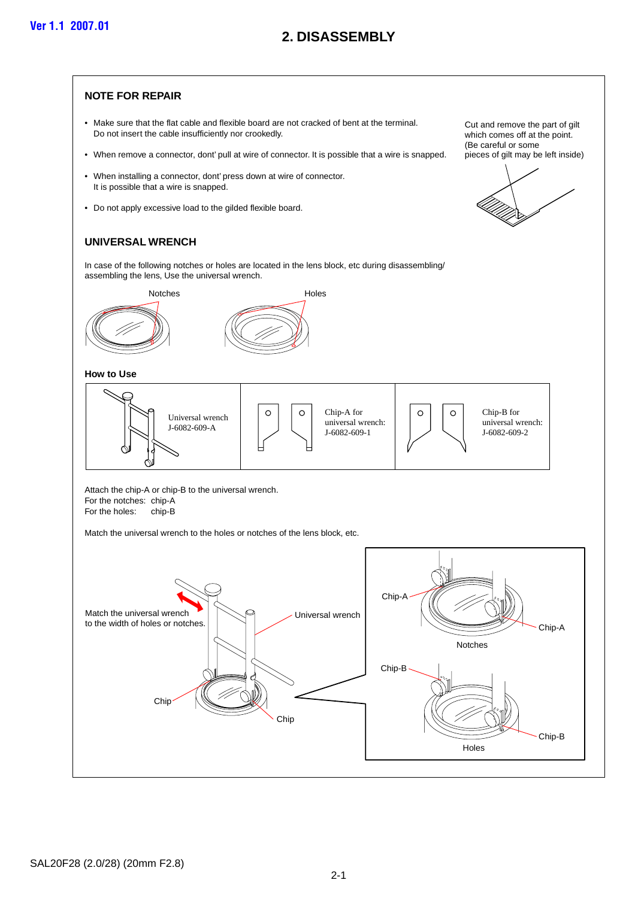## **2. DISASSEMBLY**

#### <span id="page-7-0"></span>**NOTE FOR REPAIR**

- Make sure that the flat cable and flexible board are not cracked of bent at the terminal. Do not insert the cable insufficiently nor crookedly.
- When remove a connector, dont' pull at wire of connector. It is possible that a wire is snapped.
- When installing a connector, dont' press down at wire of connector. It is possible that a wire is snapped.
- Do not apply excessive load to the gilded flexible board.

#### **UNIVERSAL WRENCH**

In case of the following notches or holes are located in the lens block, etc during disassembling/ assembling the lens, Use the universal wrench.



**How to Use**



Attach the chip-A or chip-B to the universal wrench. For the notches: chip-A For the holes: chip-B

Match the universal wrench to the holes or notches of the lens block, etc.



Cut and remove the part of gilt which comes off at the point. (Be careful or some pieces of gilt may be left inside)

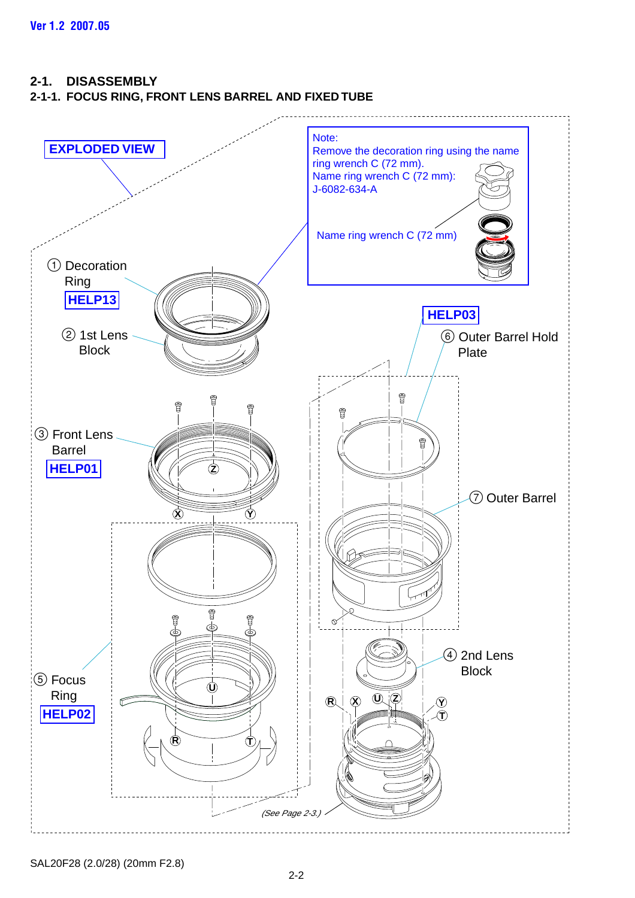#### <span id="page-8-0"></span>**2-1. DISASSEMBLY**

### **2-1-1. FOCUS RING, FRONT LENS BARREL AND FIXED TUBE**

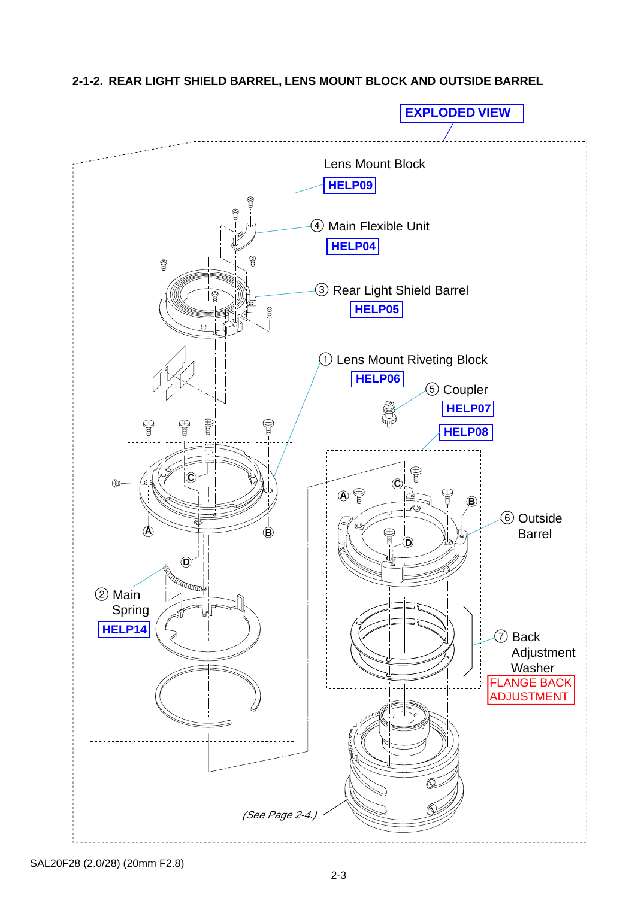<span id="page-9-0"></span>**2-1-2. REAR LIGHT SHIELD BARREL, LENS MOUNT BLOCK AND OUTSIDE BARREL**



SAL20F28 (2.0/28) (20mm F2.8)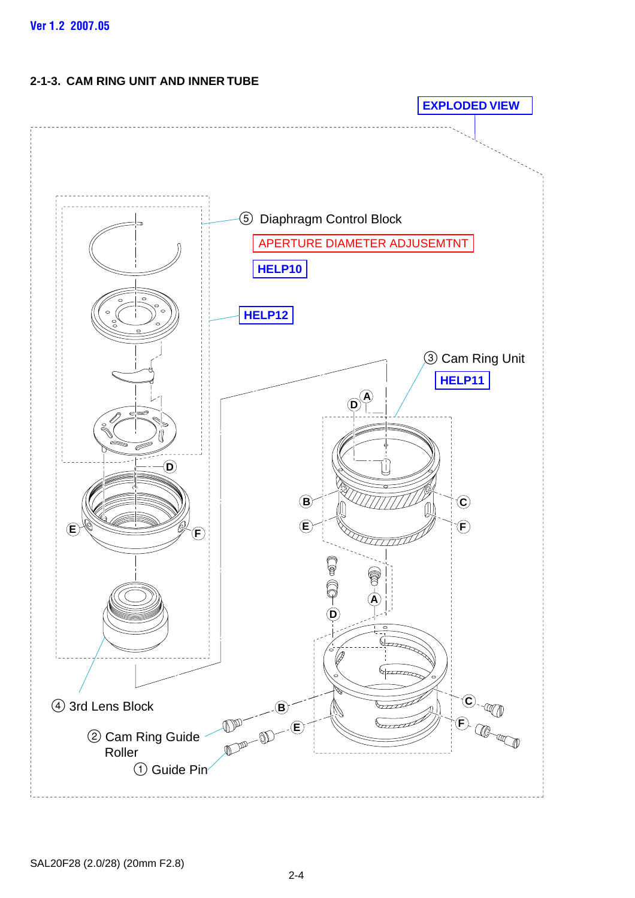## <span id="page-10-0"></span>**2-1-3. CAM RING UNIT AND INNER TUBE**

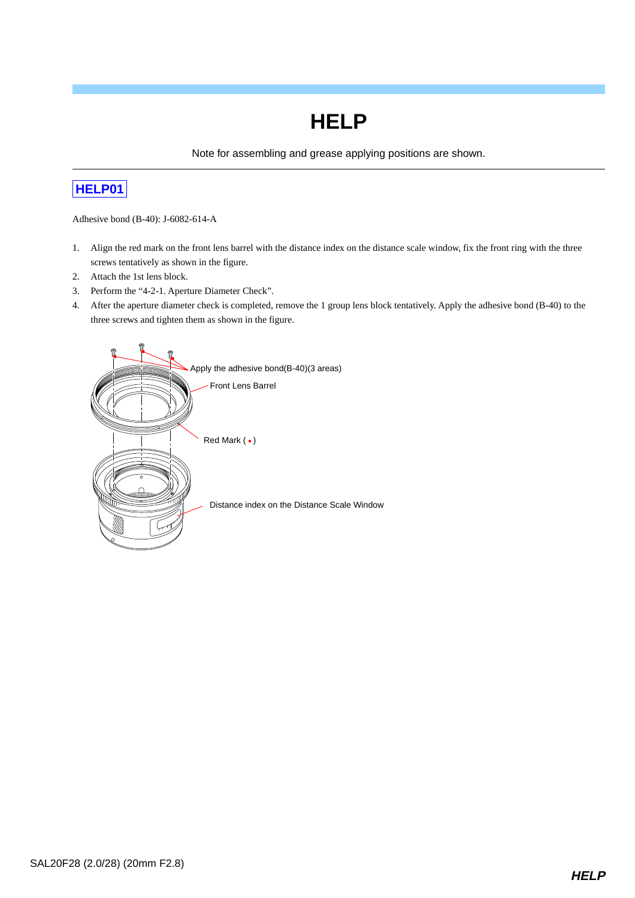Note for assembling and grease applying positions are shown.

## <span id="page-11-0"></span>**[HELP01](#page-8-0)**

Adhesive bond (B-40): J-6082-614-A

- 1. Align the red mark on the front lens barrel with the distance index on the distance scale window, fix the front ring with the three screws tentatively as shown in the figure.
- 2. Attach the 1st lens block.
- 3. Perform the "4-2-1. Aperture Diameter Check".
- 4. After the aperture diameter check is completed, remove the 1 group lens block tentatively. Apply the adhesive bond (B-40) to the three screws and tighten them as shown in the figure.

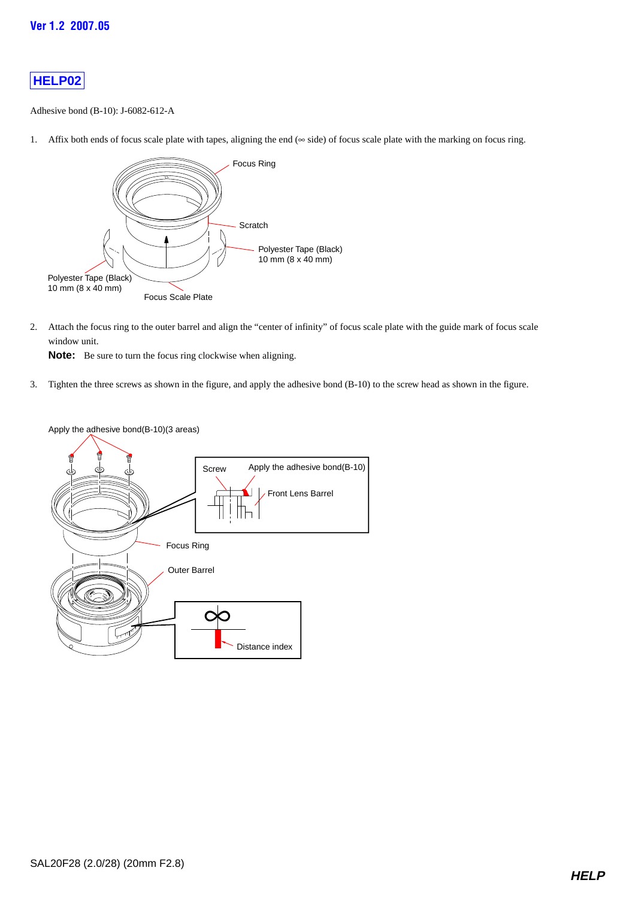<span id="page-12-0"></span>Adhesive bond (B-10): J-6082-612-A

1. Affix both ends of focus scale plate with tapes, aligning the end (∞ side) of focus scale plate with the marking on focus ring.



2. Attach the focus ring to the outer barrel and align the "center of infinity" of focus scale plate with the guide mark of focus scale window unit.

**Note:** Be sure to turn the focus ring clockwise when aligning.

3. Tighten the three screws as shown in the figure, and apply the adhesive bond (B-10) to the screw head as shown in the figure.



Apply the adhesive bond(B-10)(3 areas)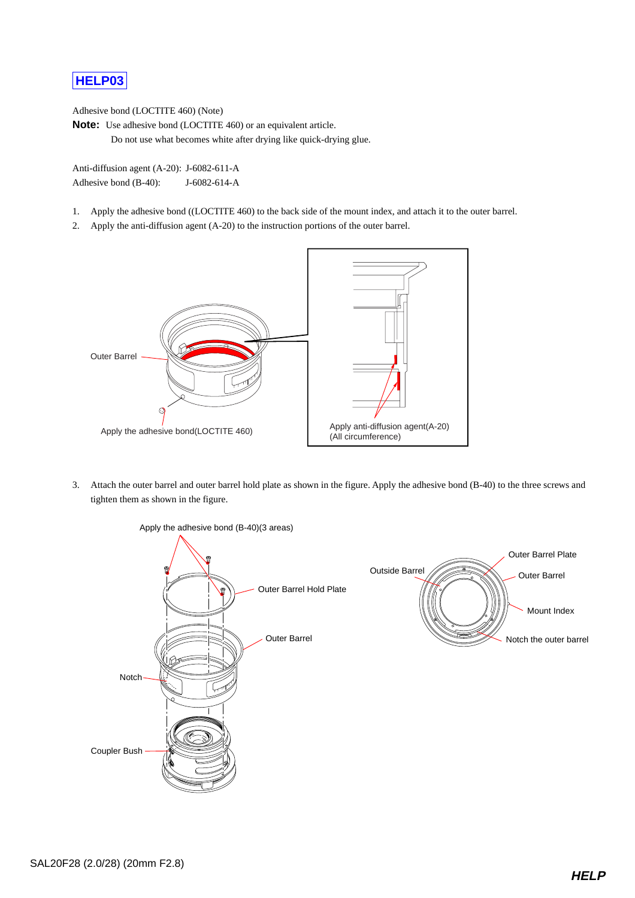<span id="page-13-0"></span>Adhesive bond (LOCTITE 460) (Note)

**Note:** Use adhesive bond (LOCTITE 460) or an equivalent article.

Do not use what becomes white after drying like quick-drying glue.

Anti-diffusion agent (A-20): J-6082-611-A Adhesive bond (B-40): J-6082-614-A

- 1. Apply the adhesive bond ((LOCTITE 460) to the back side of the mount index, and attach it to the outer barrel.
- 2. Apply the anti-diffusion agent (A-20) to the instruction portions of the outer barrel.



3. Attach the outer barrel and outer barrel hold plate as shown in the figure. Apply the adhesive bond (B-40) to the three screws and tighten them as shown in the figure.



Apply the adhesive bond (B-40)(3 areas)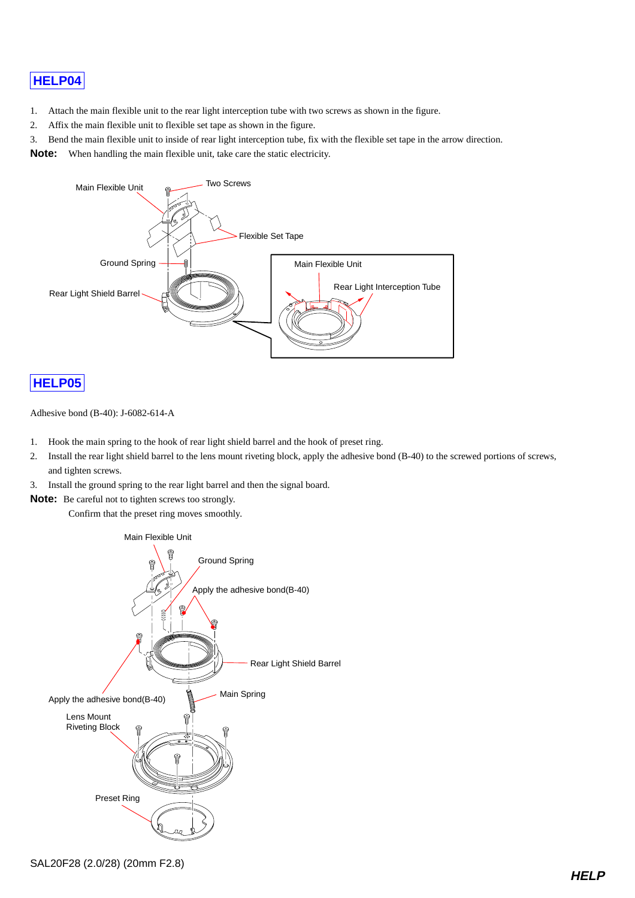- <span id="page-14-0"></span>1. Attach the main flexible unit to the rear light interception tube with two screws as shown in the figure.
- 2. Affix the main flexible unit to flexible set tape as shown in the figure.
- 3. Bend the main flexible unit to inside of rear light interception tube, fix with the flexible set tape in the arrow direction.

**Note:** When handling the main flexible unit, take care the static electricity.



## **[HELP05](#page-9-0)**

Adhesive bond (B-40): J-6082-614-A

- 1. Hook the main spring to the hook of rear light shield barrel and the hook of preset ring.
- 2. Install the rear light shield barrel to the lens mount riveting block, apply the adhesive bond (B-40) to the screwed portions of screws, and tighten screws.
- 3. Install the ground spring to the rear light barrel and then the signal board.
- **Note:** Be careful not to tighten screws too strongly.

Confirm that the preset ring moves smoothly.

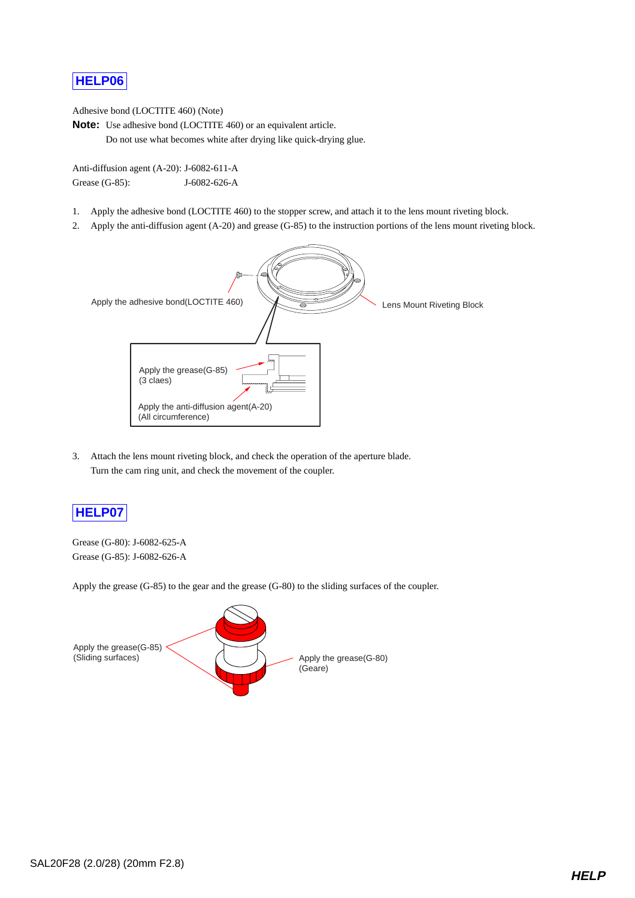<span id="page-15-0"></span>Adhesive bond (LOCTITE 460) (Note)

**Note:** Use adhesive bond (LOCTITE 460) or an equivalent article. Do not use what becomes white after drying like quick-drying glue.

Anti-diffusion agent (A-20): J-6082-611-A Grease (G-85): J-6082-626-A

- 1. Apply the adhesive bond (LOCTITE 460) to the stopper screw, and attach it to the lens mount riveting block.
- 2. Apply the anti-diffusion agent (A-20) and grease (G-85) to the instruction portions of the lens mount riveting block.



3. Attach the lens mount riveting block, and check the operation of the aperture blade. Turn the cam ring unit, and check the movement of the coupler.

## **[HELP07](#page-9-0)**

Grease (G-80): J-6082-625-A Grease (G-85): J-6082-626-A

Apply the grease (G-85) to the gear and the grease (G-80) to the sliding surfaces of the coupler.

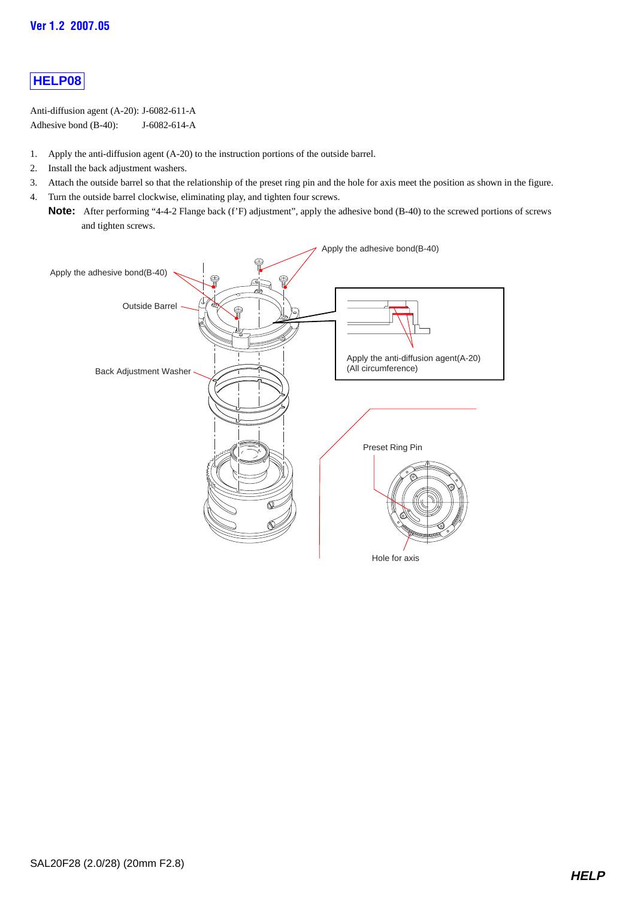<span id="page-16-0"></span>Anti-diffusion agent (A-20): J-6082-611-A Adhesive bond (B-40): J-6082-614-A

- 1. Apply the anti-diffusion agent (A-20) to the instruction portions of the outside barrel.
- 2. Install the back adjustment washers.
- 3. Attach the outside barrel so that the relationship of the preset ring pin and the hole for axis meet the position as shown in the figure.
- 4. Turn the outside barrel clockwise, eliminating play, and tighten four screws.
	- **Note:** After performing "4-4-2 Flange back (f'F) adjustment", apply the adhesive bond (B-40) to the screwed portions of screws and tighten screws.

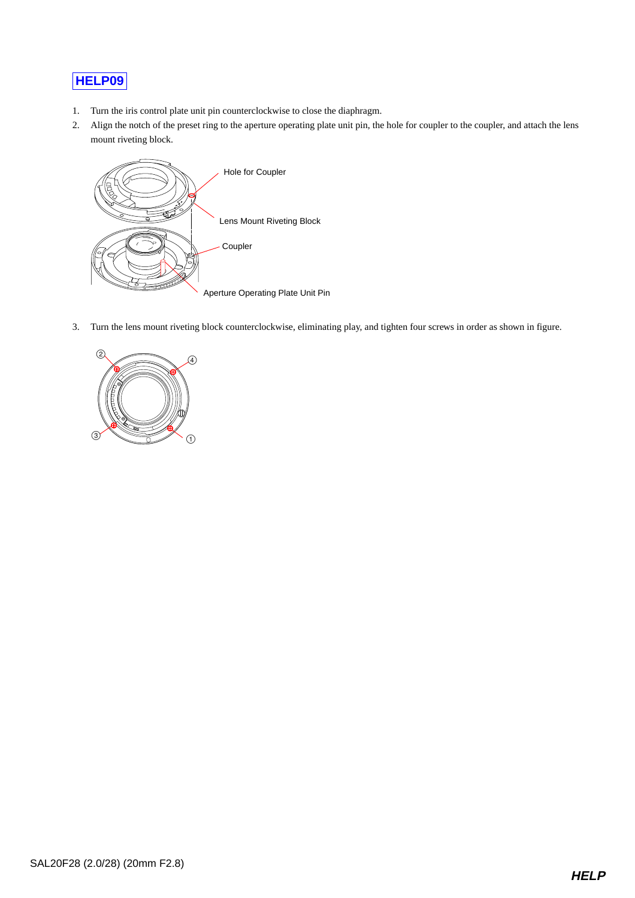- <span id="page-17-0"></span>1. Turn the iris control plate unit pin counterclockwise to close the diaphragm.
- 2. Align the notch of the preset ring to the aperture operating plate unit pin, the hole for coupler to the coupler, and attach the lens mount riveting block.



3. Turn the lens mount riveting block counterclockwise, eliminating play, and tighten four screws in order as shown in figure.

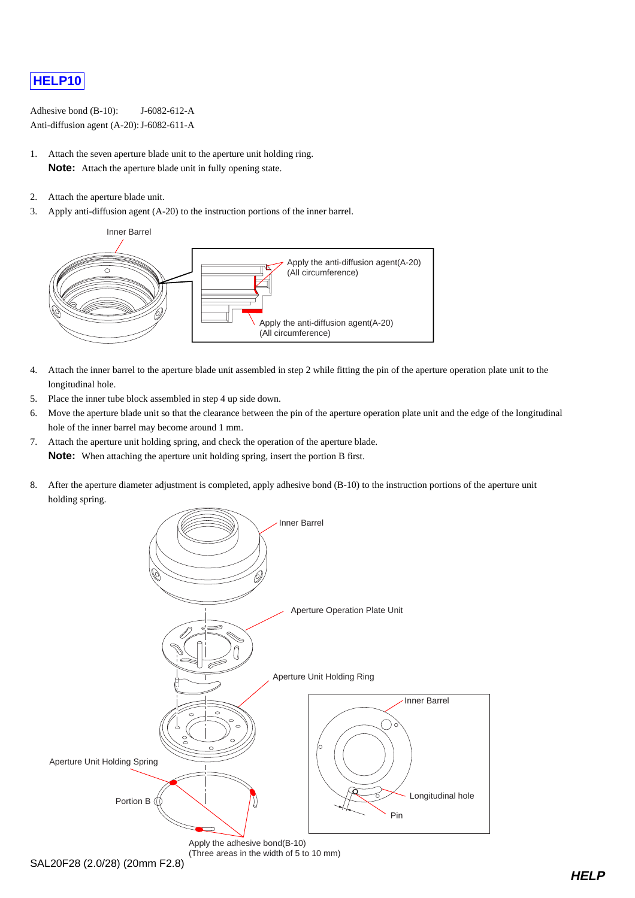<span id="page-18-0"></span>Adhesive bond (B-10): J-6082-612-A Anti-diffusion agent (A-20): J-6082-611-A

- 1. Attach the seven aperture blade unit to the aperture unit holding ring. **Note:** Attach the aperture blade unit in fully opening state.
- 2. Attach the aperture blade unit.
- 3. Apply anti-diffusion agent (A-20) to the instruction portions of the inner barrel.



- 4. Attach the inner barrel to the aperture blade unit assembled in step 2 while fitting the pin of the aperture operation plate unit to the longitudinal hole.
- 5. Place the inner tube block assembled in step 4 up side down.
- 6. Move the aperture blade unit so that the clearance between the pin of the aperture operation plate unit and the edge of the longitudinal hole of the inner barrel may become around 1 mm.
- 7. Attach the aperture unit holding spring, and check the operation of the aperture blade. **Note:** When attaching the aperture unit holding spring, insert the portion B first.
- 8. After the aperture diameter adjustment is completed, apply adhesive bond (B-10) to the instruction portions of the aperture unit holding spring.

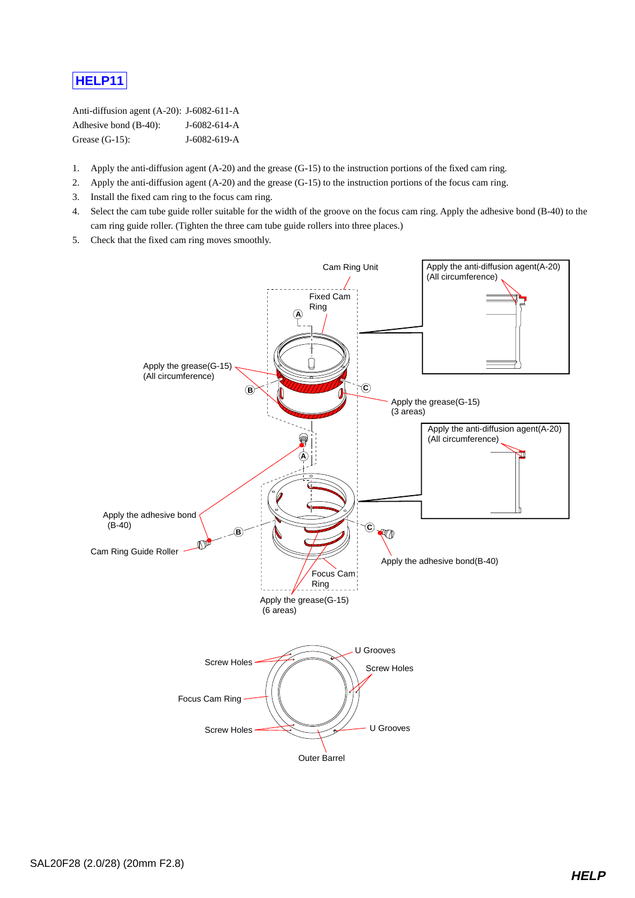<span id="page-19-0"></span>Anti-diffusion agent (A-20): J-6082-611-A Adhesive bond (B-40): J-6082-614-A Grease (G-15): **J-6082-619-A** 

- 1. Apply the anti-diffusion agent (A-20) and the grease (G-15) to the instruction portions of the fixed cam ring.
- 2. Apply the anti-diffusion agent (A-20) and the grease (G-15) to the instruction portions of the focus cam ring.
- 3. Install the fixed cam ring to the focus cam ring.
- 4. Select the cam tube guide roller suitable for the width of the groove on the focus cam ring. Apply the adhesive bond (B-40) to the cam ring guide roller. (Tighten the three cam tube guide rollers into three places.)
- 5. Check that the fixed cam ring moves smoothly.

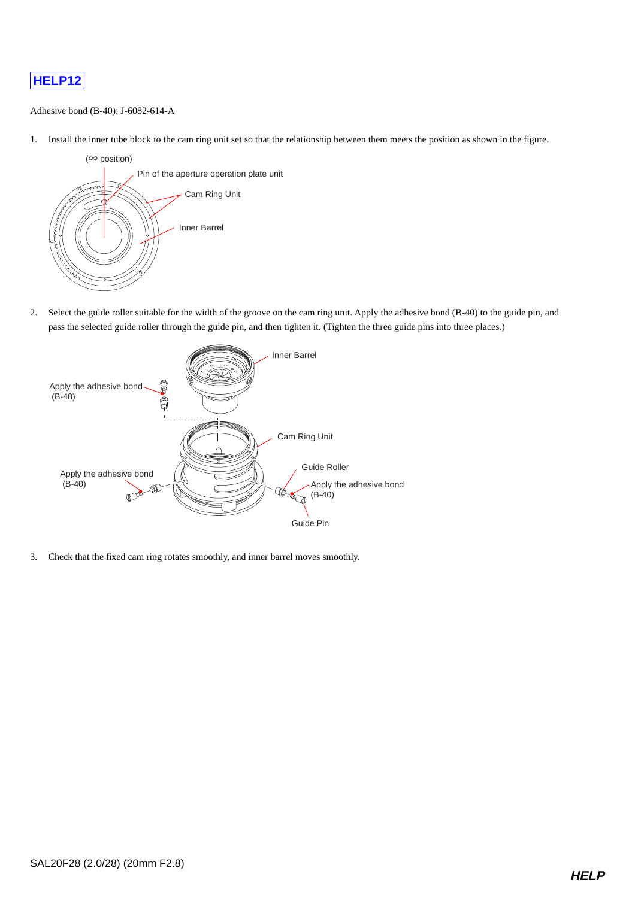<span id="page-20-0"></span>

#### Adhesive bond (B-40): J-6082-614-A

1. Install the inner tube block to the cam ring unit set so that the relationship between them meets the position as shown in the figure.



2. Select the guide roller suitable for the width of the groove on the cam ring unit. Apply the adhesive bond (B-40) to the guide pin, and pass the selected guide roller through the guide pin, and then tighten it. (Tighten the three guide pins into three places.)



3. Check that the fixed cam ring rotates smoothly, and inner barrel moves smoothly.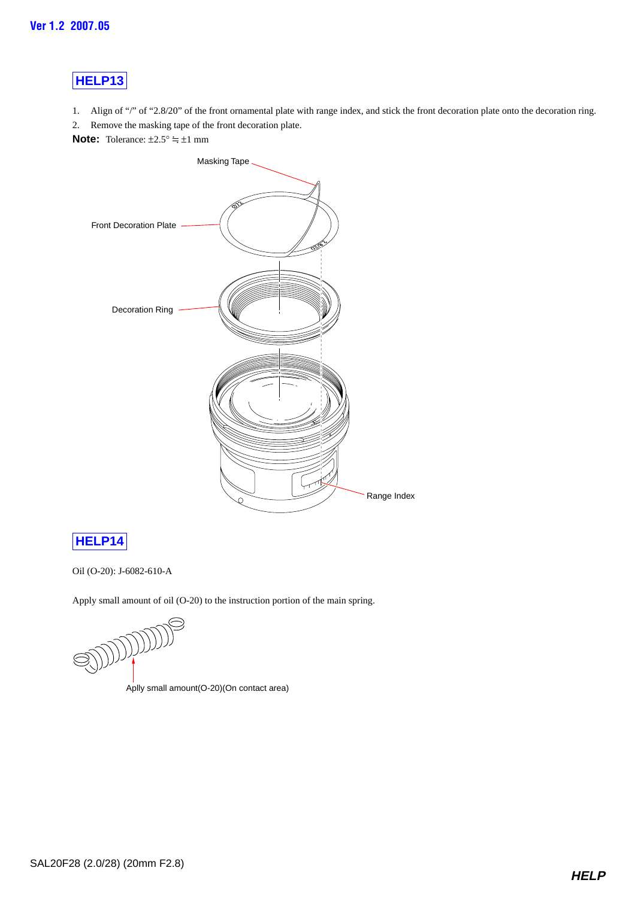<span id="page-21-0"></span>1. Align of "/" of "2.8/20" of the front ornamental plate with range index, and stick the front decoration plate onto the decoration ring.

2. Remove the masking tape of the front decoration plate.

**Note:** Tolerance:  $\pm 2.5^\circ \approx \pm 1$  mm



## **[HELP14](#page-9-0)**

Oil (O-20): J-6082-610-A

Apply small amount of oil (O-20) to the instruction portion of the main spring.

JOJOJOJOJ

Aplly small amount(O-20)(On contact area)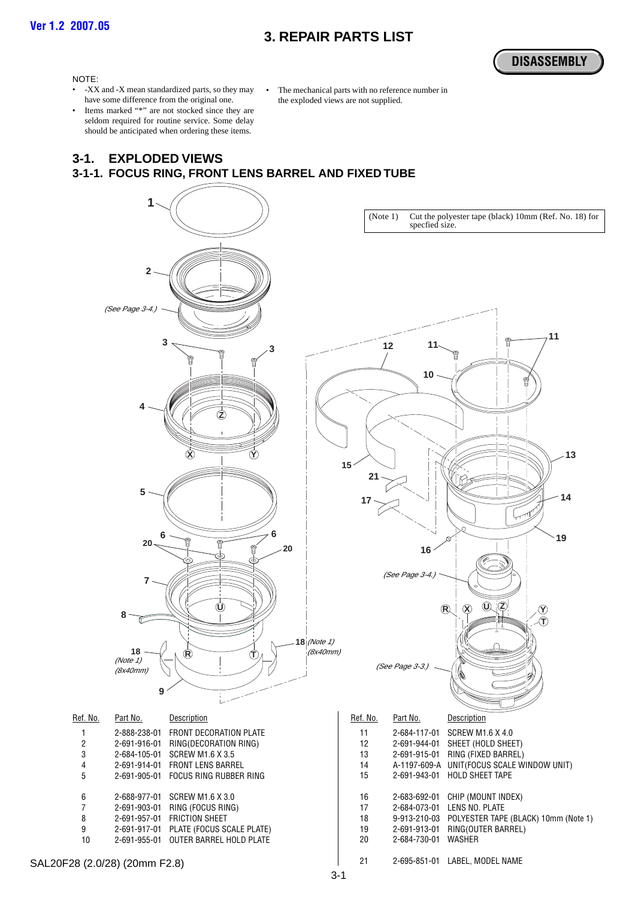## **3. REPAIR PARTS LIST**

**[DISASSEMBLY](#page-8-0)**

#### <span id="page-22-0"></span>NOTE:

- -XX and -X mean standardized parts, so they may have some difference from the original one.
- Items marked "\*" are not stocked since they are seldom required for routine service. Some delay should be anticipated when ordering these items.

The mechanical parts with no reference number in the exploded views are not supplied.

#### **3-1. EXPLODED VIEWS 3-1-1. FOCUS RING, FRONT LENS BARREL AND FIXED TUBE**

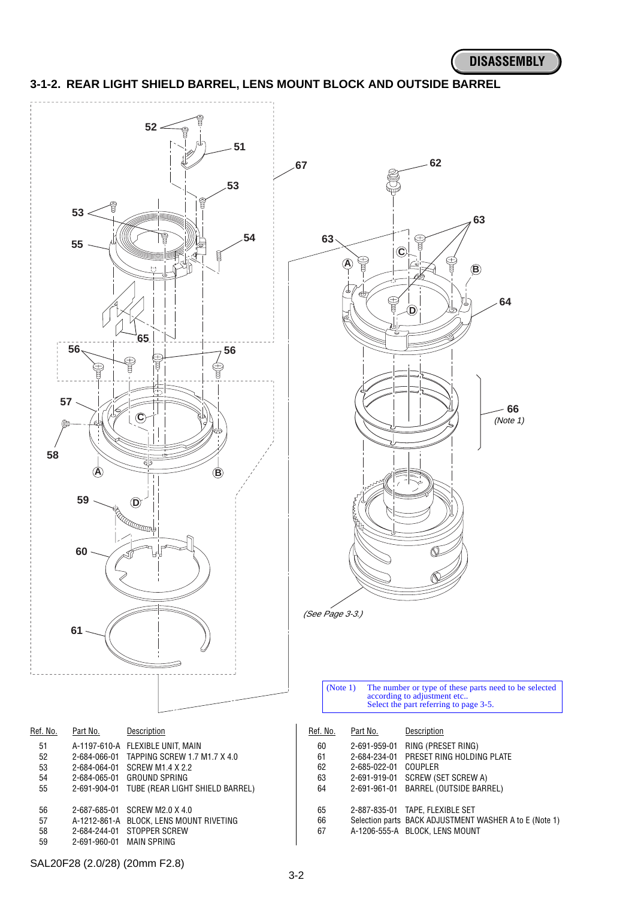

#### <span id="page-23-0"></span>**3-1-2. REAR LIGHT SHIELD BARREL, LENS MOUNT BLOCK AND OUTSIDE BARREL**

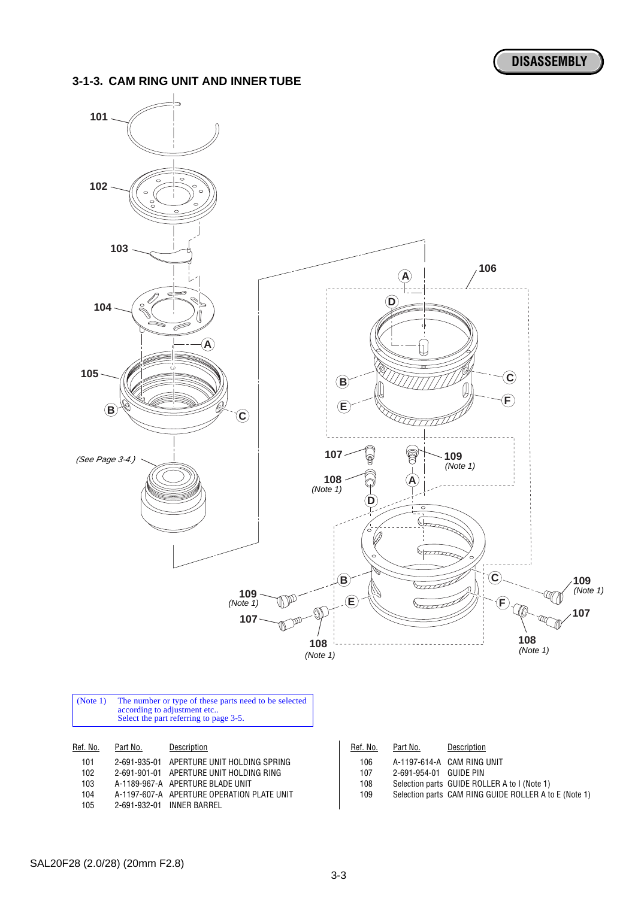#### <span id="page-24-0"></span>**3-1-3. CAM RING UNIT AND INNER TUBE**



| ,,,, | Z-091-900-01 AFLITIONE ONIT HULDING OF NE |
|------|-------------------------------------------|
| 102  | 2-691-901-01 APERTURE UNIT HOLDING RING   |

| 103 | A-1189-967-A APERTURE BLADE UNIT |
|-----|----------------------------------|
|-----|----------------------------------|

- 104 A-1197-607-A APERTURE OPERATION PLATE UNIT
- 105 2-691-932-01 INNER BARREL

| 106 |                        | A-1197-614-A CAM RING UNIT |  |
|-----|------------------------|----------------------------|--|
| 107 | 2-691-954-01 GUIDE PIN |                            |  |

- 
- 108 Selection parts GUIDE ROLLER A to I (Note 1)<br>109 Selection parts CAM RING GUIDE ROLLER A to Selection parts CAM RING GUIDE ROLLER A to E (Note 1)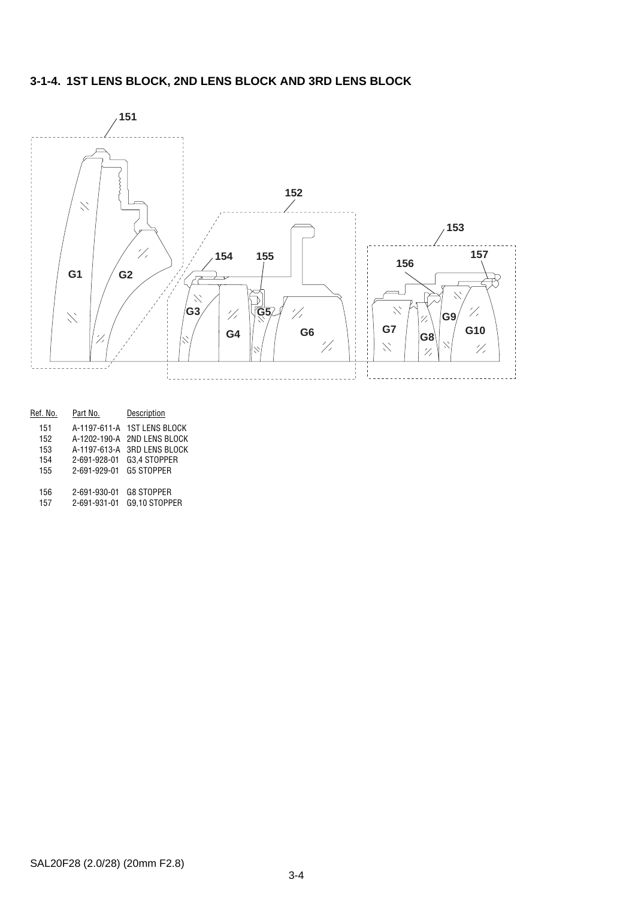## **3-1-4. 1ST LENS BLOCK, 2ND LENS BLOCK AND 3RD LENS BLOCK**



| Ref. No. | Part No.     | Description           |
|----------|--------------|-----------------------|
| 151      | A-1197-611-A | <b>1ST LENS BLOCK</b> |
| 152      | A-1202-190-A | <b>2ND LENS BLOCK</b> |
| 153      | A-1197-613-A | <b>3RD LENS BLOCK</b> |
| 154      | 2-691-928-01 | G3.4 STOPPER          |
| 155      | 2-691-929-01 | <b>G5 STOPPER</b>     |
| 156      | 2-691-930-01 | <b>G8 STOPPER</b>     |
|          |              |                       |
| 157      | 2-691-931-01 | G9.10 STOPPER         |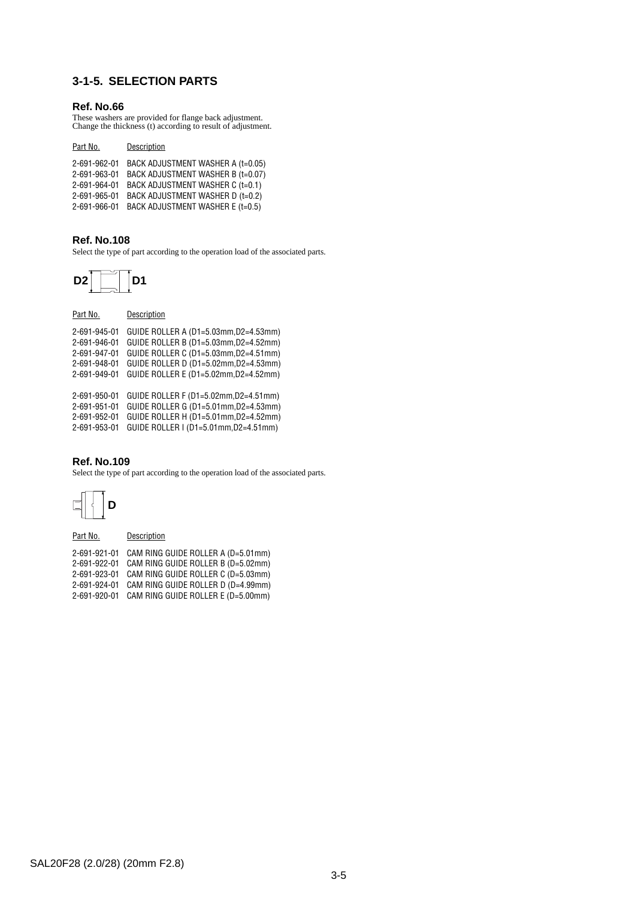## <span id="page-26-0"></span>**3-1-5. SELECTION PARTS**

#### **Ref. No.66**

These washers are provided for flange back adjustment. Change the thickness (t) according to result of adjustment.

| Part No.     | Description                       |
|--------------|-----------------------------------|
| 2-691-962-01 | BACK ADJUSTMENT WASHER A (t=0.05) |
| 2-691-963-01 | BACK ADJUSTMENT WASHER B (t=0.07) |
| 2-691-964-01 | BACK ADJUSTMENT WASHER C (t=0.1)  |
| 2-691-965-01 | BACK ADJUSTMENT WASHER D (t=0.2)  |
| 2-691-966-01 | BACK ADJUSTMENT WASHER E (t=0.5)  |

#### **Ref. No.108**

Select the type of part according to the operation load of the associated parts.



| Part No.     | Description                           |
|--------------|---------------------------------------|
| 2-691-945-01 | GUIDE ROLLER A (D1=5.03mm, D2=4.53mm) |
| 2-691-946-01 | GUIDE ROLLER B (D1=5.03mm, D2=4.52mm) |
| 2-691-947-01 | GUIDE ROLLER C (D1=5.03mm, D2=4.51mm) |
| 2-691-948-01 | GUIDE ROLLER D (D1=5.02mm, D2=4.53mm) |
| 2-691-949-01 | GUIDE ROLLER E (D1=5.02mm, D2=4.52mm) |
|              |                                       |
| 2-691-950-01 | GUIDE ROLLER F (D1=5.02mm, D2=4.51mm) |
| 2-691-951-01 | GUIDE ROLLER G (D1=5.01mm, D2=4.53mm) |
| 2-691-952-01 | GUIDE ROLLER H (D1=5.01mm, D2=4.52mm) |
| 2-691-953-01 | GUIDE ROLLER I (D1=5.01mm, D2=4.51mm) |
|              |                                       |

#### **Ref. No.109**

Select the type of part according to the operation load of the associated parts.



Part No. **Description** 

| 2-691-921-01 | CAM RING GUIDE ROLLER A (D=5.01mm) |
|--------------|------------------------------------|
| 2-691-922-01 | CAM RING GUIDE ROLLER B (D=5.02mm) |
| 2-691-923-01 | CAM RING GUIDE ROLLER C (D=5.03mm) |
| 2-691-924-01 | CAM RING GUIDE ROLLER D (D=4.99mm) |
| 2-691-920-01 | CAM RING GUIDE ROLLER E (D=5.00mm) |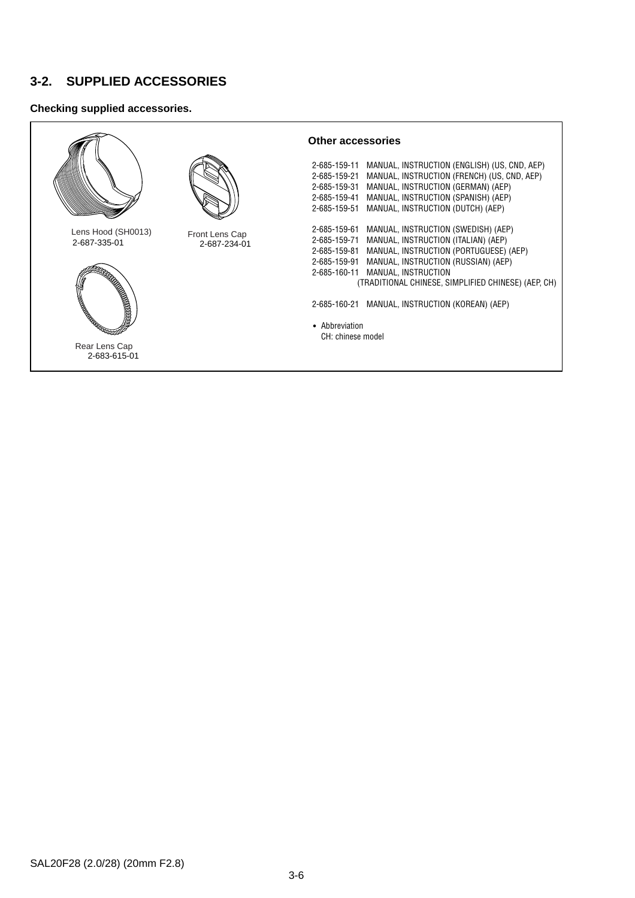## **3-2. SUPPLIED ACCESSORIES**

#### **Checking supplied accessories.**

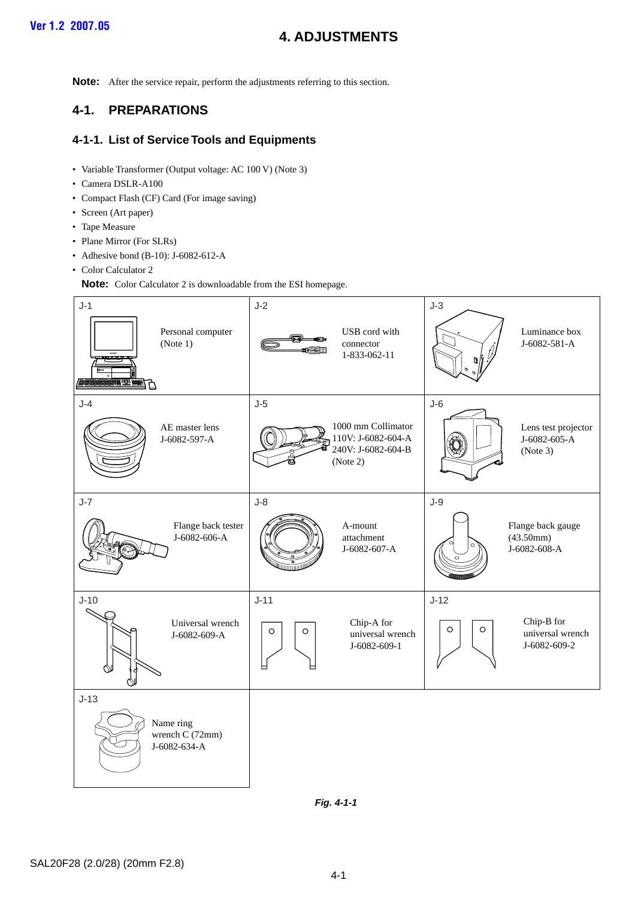## **4. ADJUSTMENTS**

<span id="page-28-0"></span>**Note:** After the service repair, perform the adjustments referring to this section.

## **4-1. PREPARATIONS**

#### **4-1-1. List of Service Tools and Equipments**

- Variable Transformer (Output voltage: AC 100 V) (Note 3)
- Camera DSLR-A100
- Compact Flash (CF) Card (For image saving)
- Screen (Art paper)
- Tape Measure
- Plane Mirror (For SLRs)
- Adhesive bond (B-10): J-6082-612-A
- Color Calculator 2

**Note:** Color Calculator 2 is downloadable from the ESI homepage.



**Fig. 4-1-1**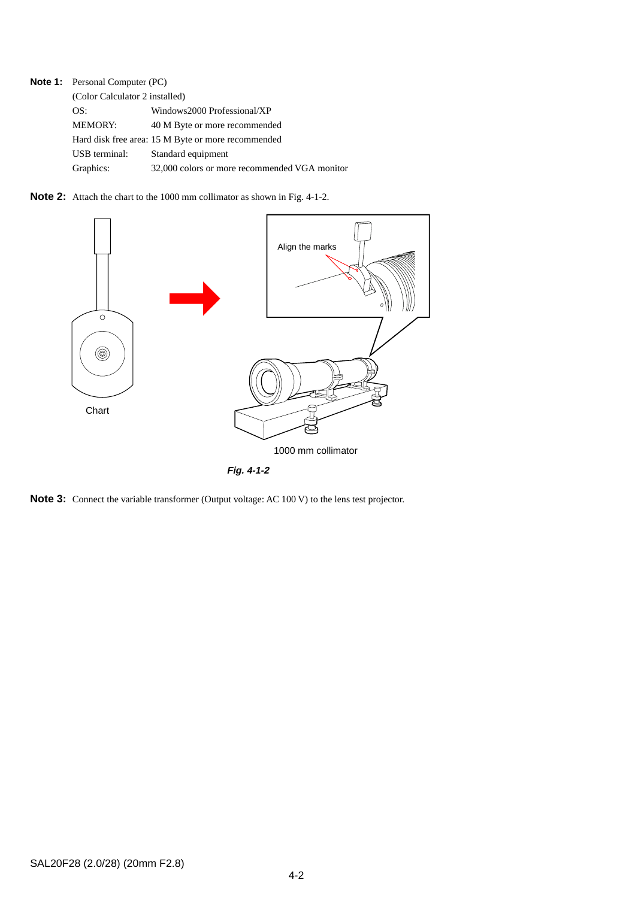**Note 1:** Personal Computer (PC)

| (Color Calculator 2 installed) |                                                    |  |  |
|--------------------------------|----------------------------------------------------|--|--|
| OS:                            | Windows2000 Professional/XP                        |  |  |
| <b>MEMORY:</b>                 | 40 M Byte or more recommended                      |  |  |
|                                | Hard disk free area: 15 M Byte or more recommended |  |  |
| USB terminal:                  | Standard equipment                                 |  |  |
| Graphics:                      | 32,000 colors or more recommended VGA monitor      |  |  |

**Note 2:** Attach the chart to the 1000 mm collimator as shown in Fig. 4-1-2.



**Note 3:** Connect the variable transformer (Output voltage: AC 100 V) to the lens test projector.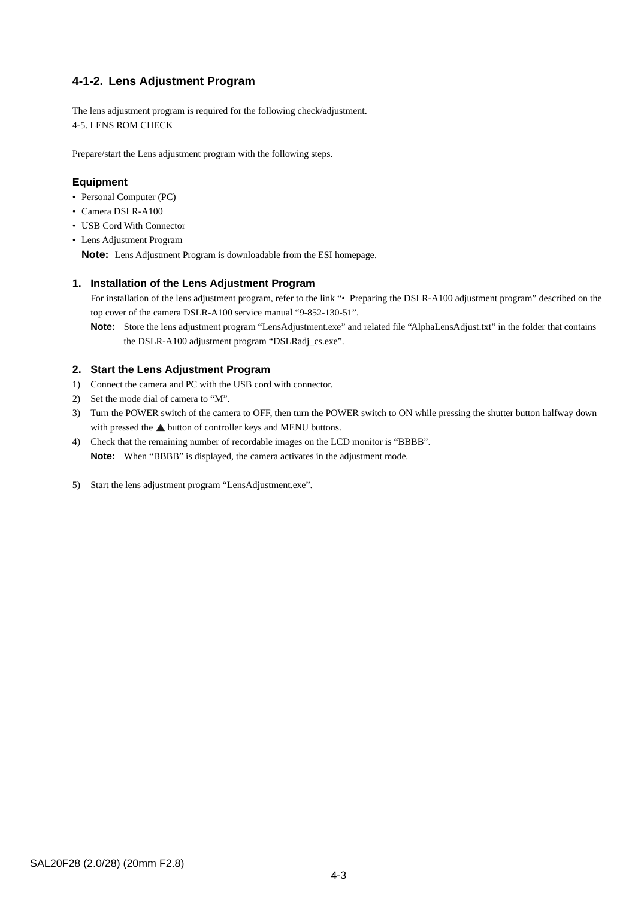#### **4-1-2. Lens Adjustment Program**

The lens adjustment program is required for the following check/adjustment. 4-5. LENS ROM CHECK

Prepare/start the Lens adjustment program with the following steps.

#### **Equipment**

- Personal Computer (PC)
- Camera DSLR-A100
- USB Cord With Connector
- Lens Adjustment Program

**Note:** Lens Adjustment Program is downloadable from the ESI homepage.

#### **1. Installation of the Lens Adjustment Program**

For installation of the lens adjustment program, refer to the link "• Preparing the DSLR-A100 adjustment program" described on the top cover of the camera DSLR-A100 service manual "9-852-130-51".

**Note:** Store the lens adjustment program "LensAdjustment.exe" and related file "AlphaLensAdjust.txt" in the folder that contains the DSLR-A100 adjustment program "DSLRadj\_cs.exe".

#### **2. Start the Lens Adjustment Program**

- 1) Connect the camera and PC with the USB cord with connector.
- 2) Set the mode dial of camera to "M".
- 3) Turn the POWER switch of the camera to OFF, then turn the POWER switch to ON while pressing the shutter button halfway down with pressed the  $\triangle$  button of controller keys and MENU buttons.
- 4) Check that the remaining number of recordable images on the LCD monitor is "BBBB". **Note:** When "BBBB" is displayed, the camera activates in the adjustment mode.
- 5) Start the lens adjustment program "LensAdjustment.exe".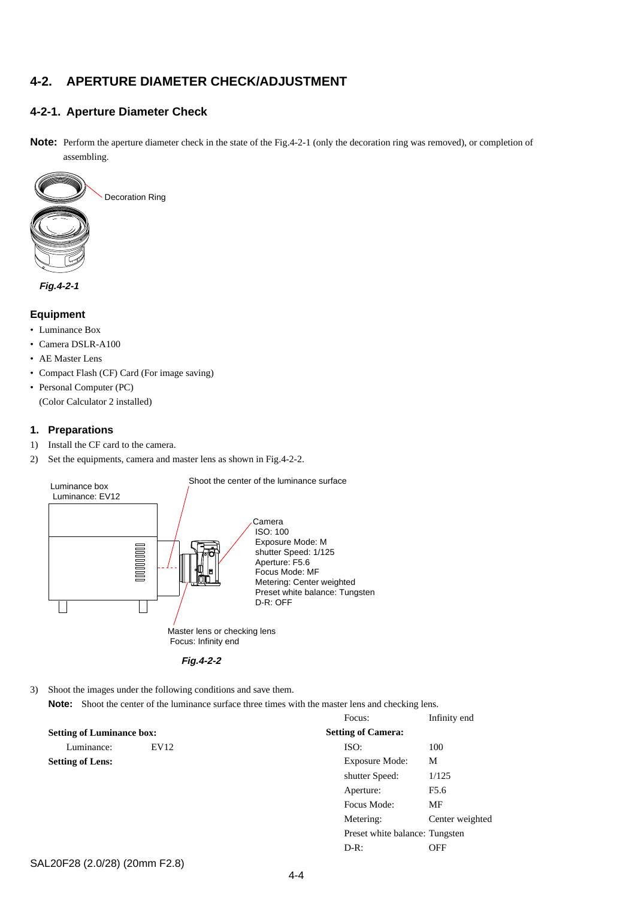## <span id="page-31-0"></span>**4-2. APERTURE DIAMETER CHECK/ADJUSTMENT**

#### **4-2-1. Aperture Diameter Check**

**Note:** Perform the aperture diameter check in the state of the Fig.4-2-1 (only the decoration ring was removed), or completion of assembling.



#### **Equipment**

- Luminance Box
- Camera DSLR-A100
- AE Master Lens
- Compact Flash (CF) Card (For image saving)
- Personal Computer (PC) (Color Calculator 2 installed)

#### **1. Preparations**

- 1) Install the CF card to the camera.
- 2) Set the equipments, camera and master lens as shown in Fig.4-2-2.



**Fig.4-2-2**

- 3) Shoot the images under the following conditions and save them.
	- **Note:** Shoot the center of the luminance surface three times with the master lens and checking lens.

|                                  |      | Focus:                         | Infinity end    |
|----------------------------------|------|--------------------------------|-----------------|
| <b>Setting of Luminance box:</b> |      | <b>Setting of Camera:</b>      |                 |
| Luminance:                       | EV12 | ISO:                           | 100             |
| <b>Setting of Lens:</b>          |      | Exposure Mode:                 | М               |
|                                  |      | shutter Speed:                 | 1/125           |
|                                  |      | Aperture:                      | F5.6            |
|                                  |      | Focus Mode:                    | MF              |
|                                  |      | Metering:                      | Center weighted |
|                                  |      | Preset white balance: Tungsten |                 |
|                                  |      | $D-R:$                         | OFF             |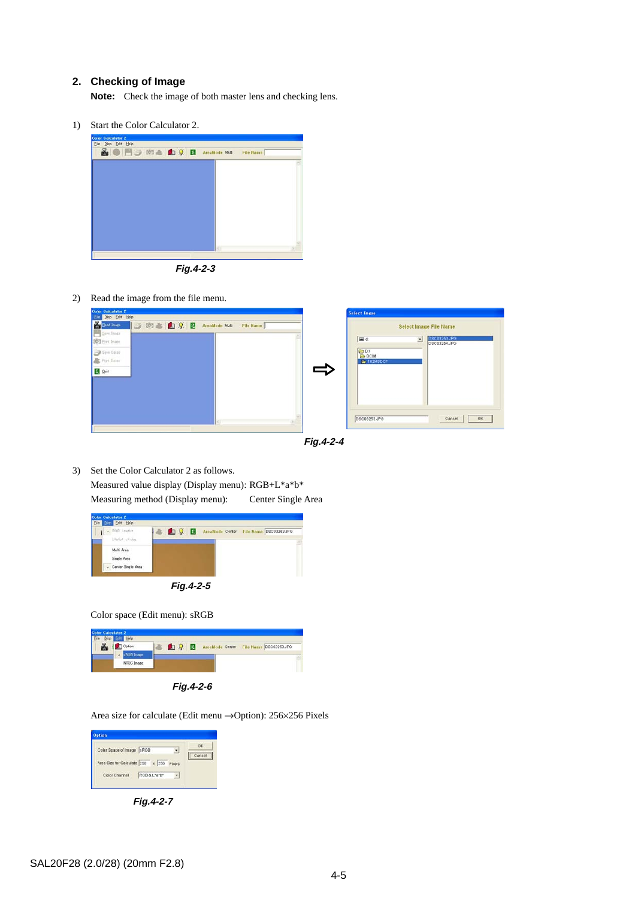#### **2. Checking of Image**

**Note:** Check the image of both master lens and checking lens.

1) Start the Color Calculator 2.



**Fig.4-2-3**

2) Read the image from the file menu.

| <b>Color Calculator 2</b>                                                                                                                              | Select Incor                                                                                                                                                 |
|--------------------------------------------------------------------------------------------------------------------------------------------------------|--------------------------------------------------------------------------------------------------------------------------------------------------------------|
| Disp Edit Help<br>Bead Inaco<br>O 3 & D Q. B Arealdode Mult<br>File Name<br>See Inser<br>SOL Birt Insee<br>Silve Dates<br>Print Dates<br><b>B</b> Quit | Select Image File Name<br><b>DBC03253.JPG</b><br><b>EB</b> d<br>$\cdot$<br>DSC03254.JPG<br><b>BD3</b><br><b>B</b> DCIM<br><b>S</b> 102MSDCF<br>$\Rightarrow$ |
|                                                                                                                                                        | Cansel<br>DSC03253.JPG<br><b>OK</b>                                                                                                                          |



3) Set the Color Calculator 2 as follows. Measured value display (Display menu): RGB+L\*a\*b\* Measuring method (Display menu): Center Single Area

| . FOR Leathe<br>Litarist cit deg | ■ ■ 9 圖 | AreaMode Center File Name DSC03253JPO |  |
|----------------------------------|---------|---------------------------------------|--|
|                                  |         |                                       |  |
| Multi Area                       |         |                                       |  |
| Single Area                      |         |                                       |  |
| - Center Single Area             |         |                                       |  |

**Fig.4-2-5**

Color space (Edit menu): sRGB



**Fig.4-2-6**

Area size for calculate (Edit menu →Option): 256×256 Pixels



**Fig.4-2-7**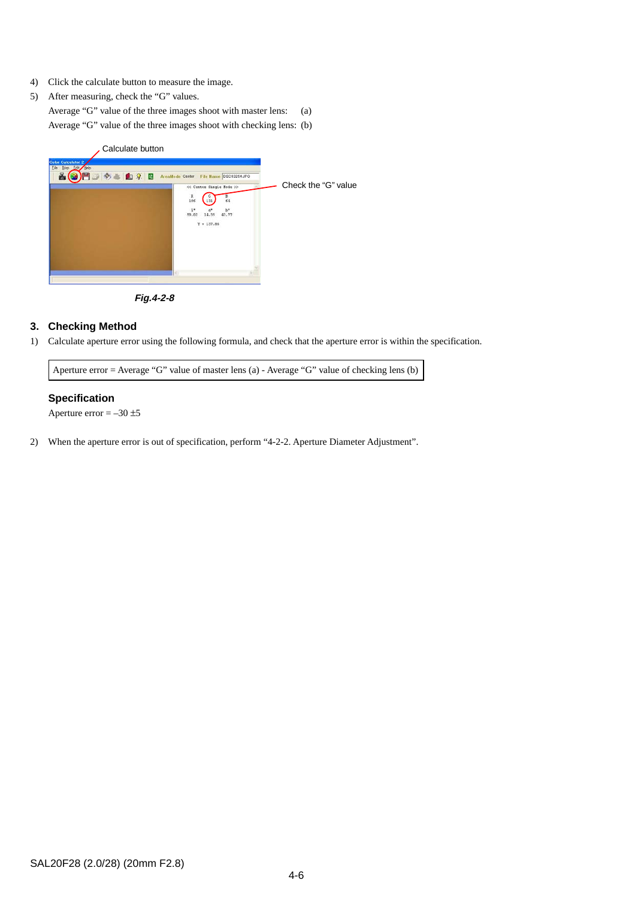- 4) Click the calculate button to measure the image.
- 5) After measuring, check the "G" values.

Average "G" value of the three images shoot with master lens: (a) Average "G" value of the three images shoot with checking lens: (b)



**Fig.4-2-8**

#### **3. Checking Method**

1) Calculate aperture error using the following formula, and check that the aperture error is within the specification.

Aperture error = Average "G" value of master lens (a) - Average "G" value of checking lens (b)

#### **Specification**

Aperture error  $=-30 \pm 5$ 

2) When the aperture error is out of specification, perform "4-2-2. Aperture Diameter Adjustment".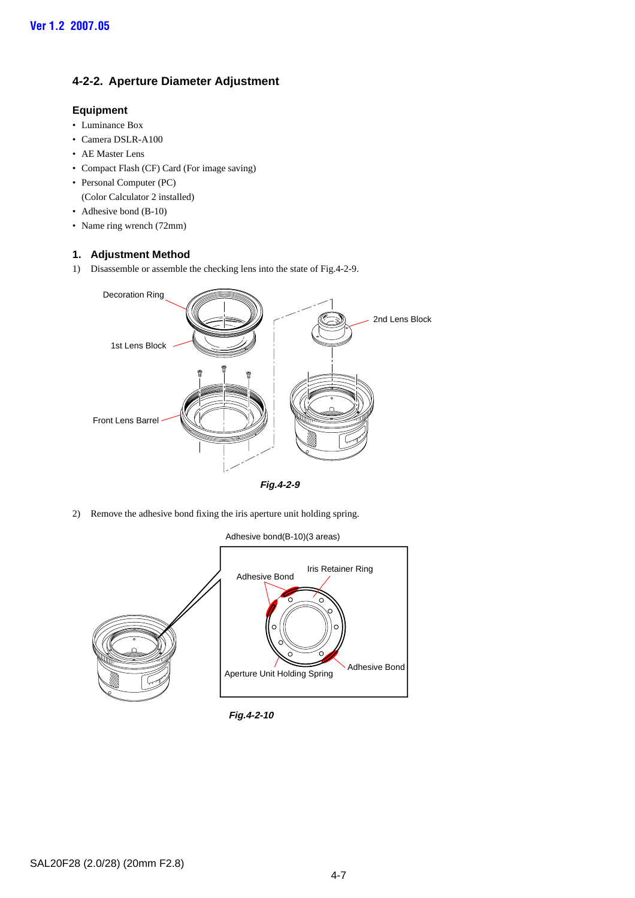#### <span id="page-34-0"></span>**4-2-2. Aperture Diameter Adjustment**

#### **Equipment**

- Luminance Box
- Camera DSLR-A100
- AE Master Lens
- Compact Flash (CF) Card (For image saving)
- Personal Computer (PC)
- (Color Calculator 2 installed)
- Adhesive bond (B-10)
- Name ring wrench (72mm)

#### **1. Adjustment Method**

1) Disassemble or assemble the checking lens into the state of Fig.4-2-9.



**Fig.4-2-9**

2) Remove the adhesive bond fixing the iris aperture unit holding spring.

Adhesive bond(B-10)(3 areas)



**Fig.4-2-10**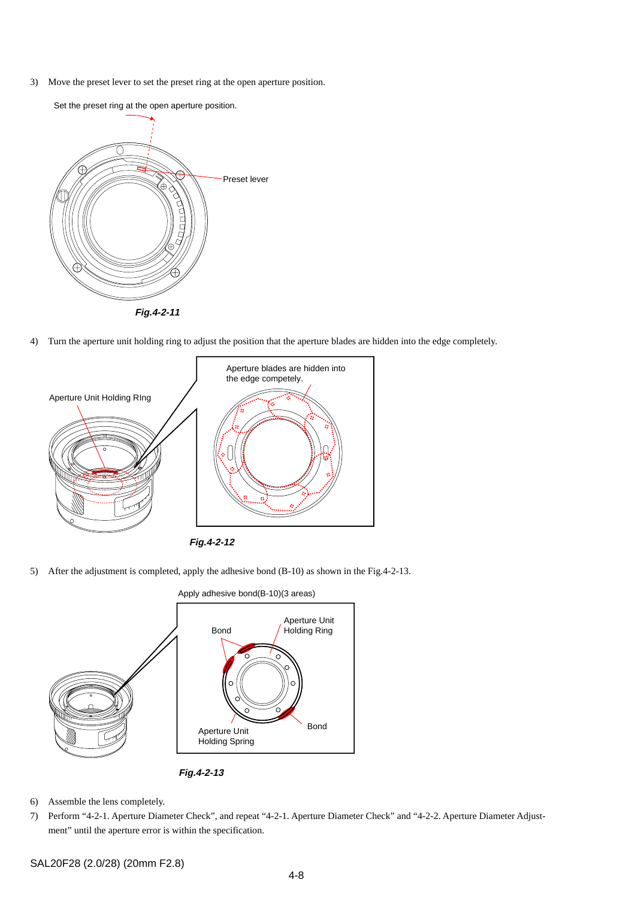3) Move the preset lever to set the preset ring at the open aperture position.



Set the preset ring at the open aperture position.

4) Turn the aperture unit holding ring to adjust the position that the aperture blades are hidden into the edge completely.



5) After the adjustment is completed, apply the adhesive bond (B-10) as shown in the Fig.4-2-13.



**Fig.4-2-13**

- 6) Assemble the lens completely.
- 7) Perform "4-2-1. Aperture Diameter Check", and repeat "4-2-1. Aperture Diameter Check" and "4-2-2. Aperture Diameter Adjustment" until the aperture error is within the specification.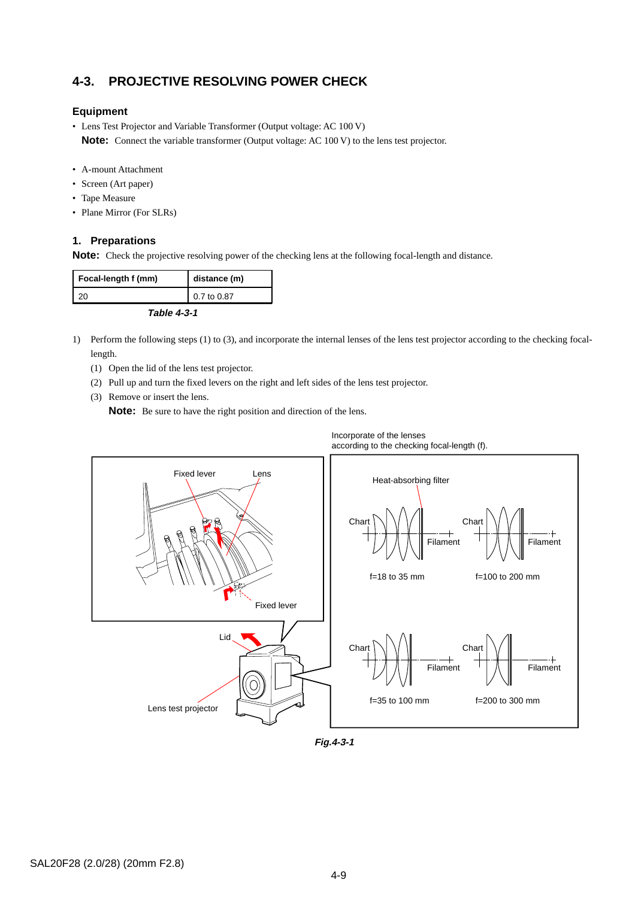## **4-3. PROJECTIVE RESOLVING POWER CHECK**

#### **Equipment**

- Lens Test Projector and Variable Transformer (Output voltage: AC 100 V) **Note:** Connect the variable transformer (Output voltage: AC 100 V) to the lens test projector.
- A-mount Attachment
- Screen (Art paper)
- Tape Measure
- Plane Mirror (For SLRs)

#### **1. Preparations**

**Note:** Check the projective resolving power of the checking lens at the following focal-length and distance.

| Focal-length f (mm) | distance (m) |  |  |
|---------------------|--------------|--|--|
| 20                  | 0.7 to 0.87  |  |  |
| Table 4-3-1         |              |  |  |

- 1) Perform the following steps (1) to (3), and incorporate the internal lenses of the lens test projector according to the checking focallength.
	- (1) Open the lid of the lens test projector.
	- (2) Pull up and turn the fixed levers on the right and left sides of the lens test projector.
	- (3) Remove or insert the lens.

**Note:** Be sure to have the right position and direction of the lens.



**Fig.4-3-1**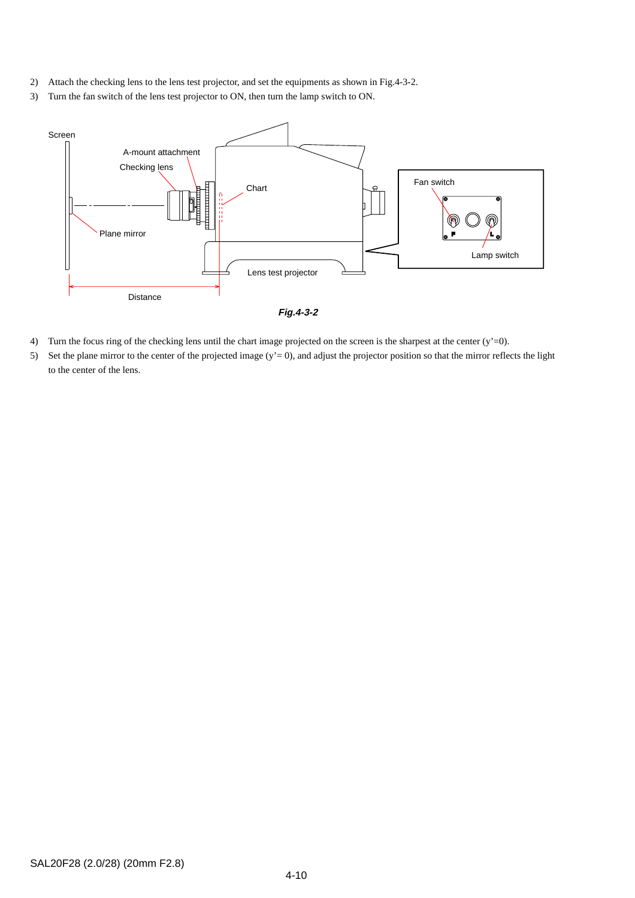- 2) Attach the checking lens to the lens test projector, and set the equipments as shown in Fig.4-3-2.
- 3) Turn the fan switch of the lens test projector to ON, then turn the lamp switch to ON.



- 4) Turn the focus ring of the checking lens until the chart image projected on the screen is the sharpest at the center (y'=0).
- 5) Set the plane mirror to the center of the projected image  $(y' = 0)$ , and adjust the projector position so that the mirror reflects the light to the center of the lens.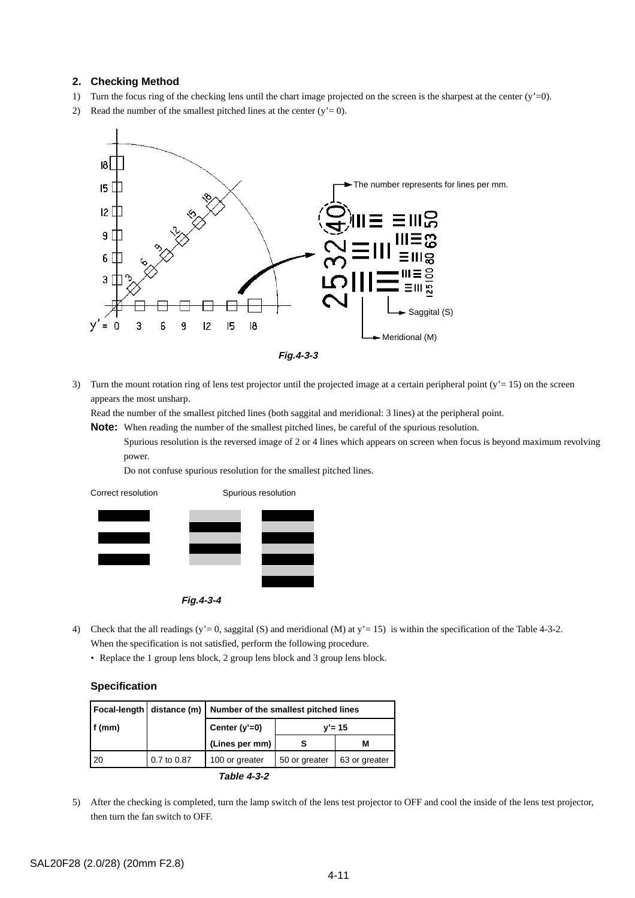#### **2. Checking Method**

- 1) Turn the focus ring of the checking lens until the chart image projected on the screen is the sharpest at the center (y'=0).
- 2) Read the number of the smallest pitched lines at the center  $(y'= 0)$ .



3) Turn the mount rotation ring of lens test projector until the projected image at a certain peripheral point (y'= 15) on the screen appears the most unsharp.

Read the number of the smallest pitched lines (both saggital and meridional: 3 lines) at the peripheral point.

**Note:** When reading the number of the smallest pitched lines, be careful of the spurious resolution.

Spurious resolution is the reversed image of 2 or 4 lines which appears on screen when focus is beyond maximum revolving power.

Do not confuse spurious resolution for the smallest pitched lines.

Correct resolution Spurious resolution



**Fig.4-3-4**

- 4) Check that the all readings (y'= 0, saggital (S) and meridional (M) at y'= 15) is within the specification of the Table 4-3-2. When the specification is not satisfied, perform the following procedure.
	- Replace the 1 group lens block, 2 group lens block and 3 group lens block.

#### **Specification**

|           |             | Focal-length   distance (m)   Number of the smallest pitched lines |               |               |
|-----------|-------------|--------------------------------------------------------------------|---------------|---------------|
| $ f$ (mm) |             | Center $(y'=0)$                                                    | $v' = 15$     |               |
|           |             | (Lines per mm)                                                     |               | м             |
| 120       | 0.7 to 0.87 | 100 or greater                                                     | 50 or greater | 63 or greater |
|           |             |                                                                    |               |               |

**Table 4-3-2**

5) After the checking is completed, turn the lamp switch of the lens test projector to OFF and cool the inside of the lens test projector, then turn the fan switch to OFF.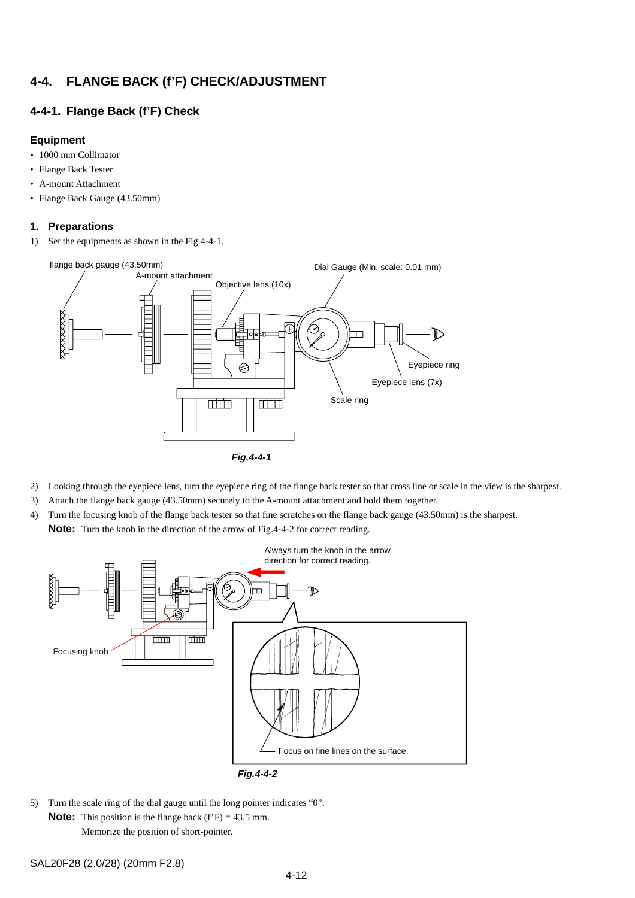## <span id="page-39-0"></span>**4-4. FLANGE BACK (f'F) CHECK/ADJUSTMENT**

#### **4-4-1. Flange Back (f'F) Check**

#### **Equipment**

- 1000 mm Collimator
- Flange Back Tester
- A-mount Attachment
- Flange Back Gauge (43.50mm)

#### **1. Preparations**

1) Set the equipments as shown in the Fig.4-4-1.



- 2) Looking through the eyepiece lens, turn the eyepiece ring of the flange back tester so that cross line or scale in the view is the sharpest.
- 3) Attach the flange back gauge (43.50mm) securely to the A-mount attachment and hold them together.
- 4) Turn the focusing knob of the flange back tester so that fine scratches on the flange back gauge (43.50mm) is the sharpest.

**Note:** Turn the knob in the direction of the arrow of Fig.4-4-2 for correct reading.



5) Turn the scale ring of the dial gauge until the long pointer indicates "0". **Note:** This position is the flange back (f'F) = 43.5 mm.

Memorize the position of short-pointer.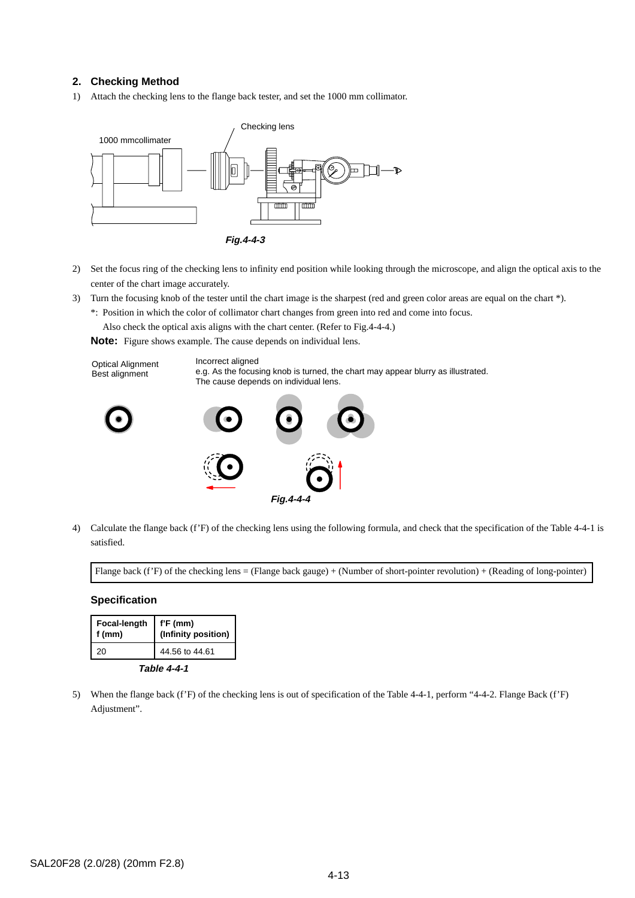#### **2. Checking Method**

1) Attach the checking lens to the flange back tester, and set the 1000 mm collimator.



- 2) Set the focus ring of the checking lens to infinity end position while looking through the microscope, and align the optical axis to the center of the chart image accurately.
- 3) Turn the focusing knob of the tester until the chart image is the sharpest (red and green color areas are equal on the chart \*). \*: Position in which the color of collimator chart changes from green into red and come into focus.

Also check the optical axis aligns with the chart center. (Refer to Fig.4-4-4.)

**Note:** Figure shows example. The cause depends on individual lens.



**Fig.4-4-4**

4) Calculate the flange back (f'F) of the checking lens using the following formula, and check that the specification of the Table 4-4-1 is satisfied.

Flange back (f'F) of the checking lens = (Flange back gauge) + (Number of short-pointer revolution) + (Reading of long-pointer)

#### **Specification**

| Focal-length<br>f (mm) | $f'F$ (mm)<br>(Infinity position) |  |  |
|------------------------|-----------------------------------|--|--|
| 20                     | 44.56 to 44.61                    |  |  |
| Table 4-4-1            |                                   |  |  |

5) When the flange back (f'F) of the checking lens is out of specification of the Table 4-4-1, perform "4-4-2. Flange Back (f'F) Adjustment".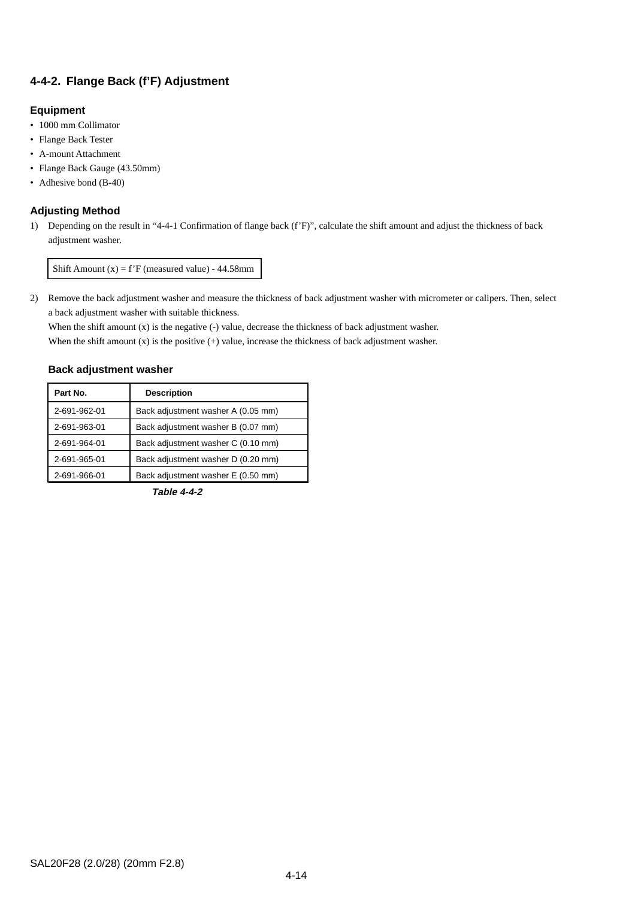## **4-4-2. Flange Back (f'F) Adjustment**

#### **Equipment**

- 1000 mm Collimator
- Flange Back Tester
- A-mount Attachment
- Flange Back Gauge (43.50mm)
- Adhesive bond (B-40)

#### **Adjusting Method**

1) Depending on the result in "4-4-1 Confirmation of flange back (f'F)", calculate the shift amount and adjust the thickness of back adjustment washer.

Shift Amount  $(x) = f'F$  (measured value) - 44.58mm

2) Remove the back adjustment washer and measure the thickness of back adjustment washer with micrometer or calipers. Then, select a back adjustment washer with suitable thickness.

When the shift amount (x) is the negative (-) value, decrease the thickness of back adjustment washer.

When the shift amount  $(x)$  is the positive  $(+)$  value, increase the thickness of back adjustment washer.

#### **Back adjustment washer**

| Part No.     | <b>Description</b>                 |
|--------------|------------------------------------|
| 2-691-962-01 | Back adjustment washer A (0.05 mm) |
| 2-691-963-01 | Back adjustment washer B (0.07 mm) |
| 2-691-964-01 | Back adjustment washer C (0.10 mm) |
| 2-691-965-01 | Back adjustment washer D (0.20 mm) |
| 2-691-966-01 | Back adjustment washer E (0.50 mm) |

**Table 4-4-2**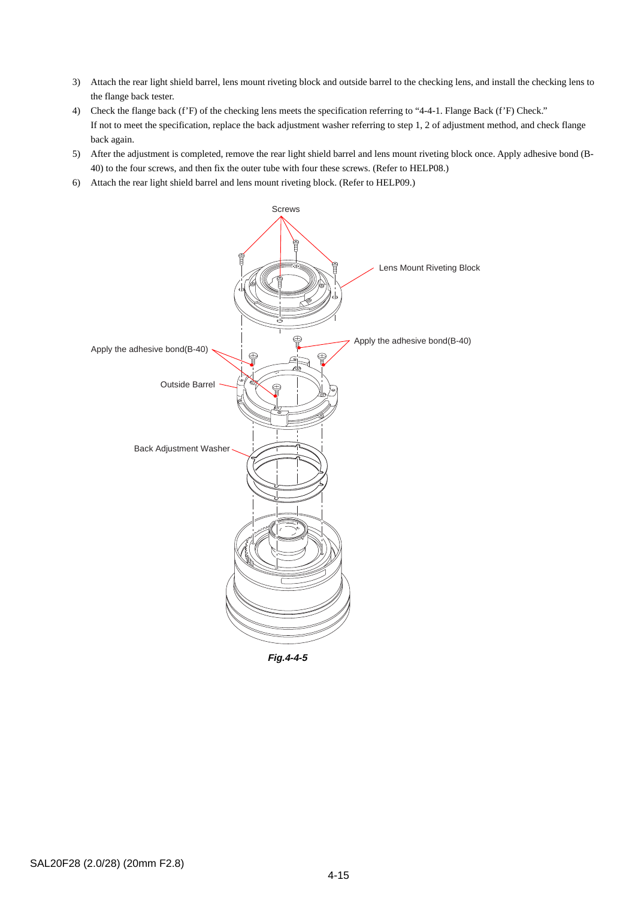- 3) Attach the rear light shield barrel, lens mount riveting block and outside barrel to the checking lens, and install the checking lens to the flange back tester.
- 4) Check the flange back (f'F) of the checking lens meets the specification referring to "4-4-1. Flange Back (f'F) Check." If not to meet the specification, replace the back adjustment washer referring to step 1, 2 of adjustment method, and check flange back again.
- 5) After the adjustment is completed, remove the rear light shield barrel and lens mount riveting block once. Apply adhesive bond (B-40) to the four screws, and then fix the outer tube with four these screws. (Refer to HELP08.)
- 6) Attach the rear light shield barrel and lens mount riveting block. (Refer to HELP09.)

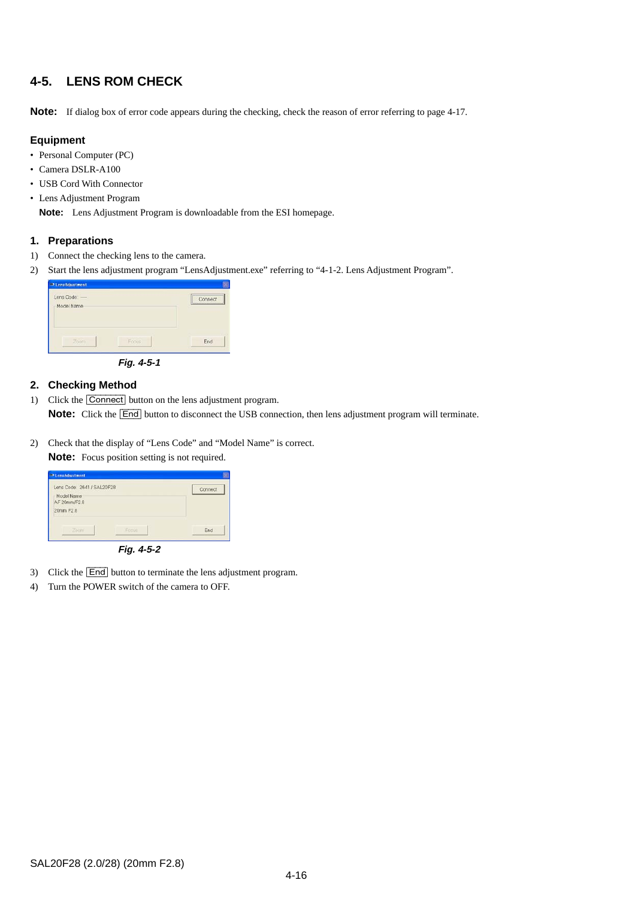## **4-5. LENS ROM CHECK**

**Note:** If dialog box of error code appears during the checking, check the reason of error referring to page 4-17.

#### **Equipment**

- Personal Computer (PC)
- Camera DSLR-A100
- USB Cord With Connector
- Lens Adjustment Program

**Note:** Lens Adjustment Program is downloadable from the ESI homepage.

#### **1. Preparations**

- 1) Connect the checking lens to the camera.
- 2) Start the lens adjustment program "LensAdjustment.exe" referring to "4-1-2. Lens Adjustment Program".



**Fig. 4-5-1**

#### **2. Checking Method**

- 1) Click the [Connect] button on the lens adjustment program. **Note:** Click the **[End]** button to disconnect the USB connection, then lens adjustment program will terminate.
- 2) Check that the display of "Lens Code" and "Model Name" is correct.

**Note:** Focus position setting is not required.

| <b>ID LensAdjustment</b>                                 |         |
|----------------------------------------------------------|---------|
| Lens Code: 2641 / SAL20F28<br>Model Name<br>AF 20mm/F2.8 | Connect |
| 20mm F2.8                                                |         |
| Zocm'<br>Focus                                           | End     |
| Fig. 4-5-2                                               |         |

- 3) Click the **End** button to terminate the lens adjustment program.
- 4) Turn the POWER switch of the camera to OFF.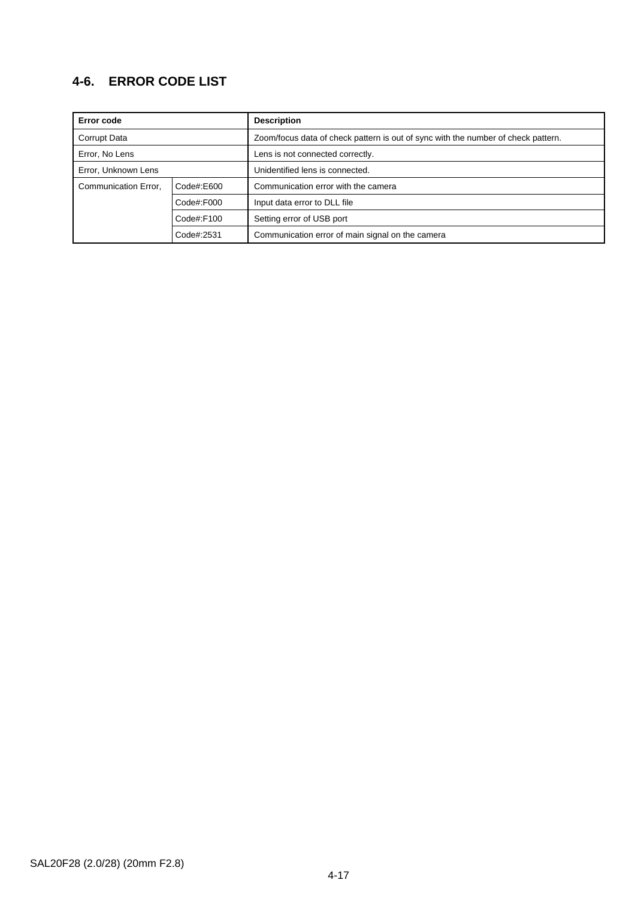## **4-6. ERROR CODE LIST**

| Error code           |              | <b>Description</b>                                                                |  |
|----------------------|--------------|-----------------------------------------------------------------------------------|--|
| Corrupt Data         |              | Zoom/focus data of check pattern is out of sync with the number of check pattern. |  |
| Error, No Lens       |              | Lens is not connected correctly.                                                  |  |
| Error, Unknown Lens  |              | Unidentified lens is connected.                                                   |  |
| Communication Error, | Code#:E600   | Communication error with the camera                                               |  |
|                      | Code#:F000   | Input data error to DLL file                                                      |  |
|                      | $Code\#F100$ | Setting error of USB port                                                         |  |
|                      | Code#:2531   | Communication error of main signal on the camera                                  |  |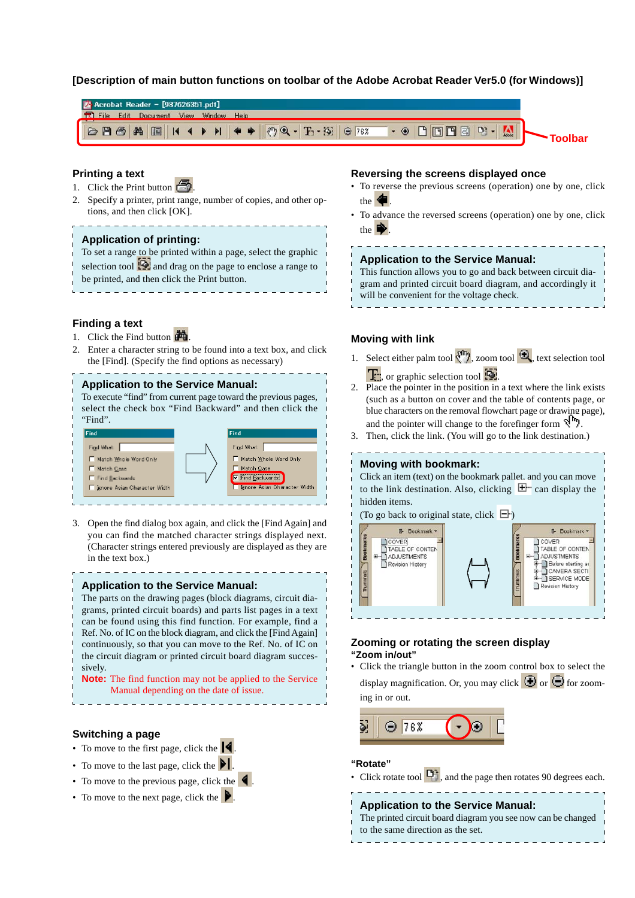#### <span id="page-45-0"></span>**[Description of main button functions on toolbar of the Adobe Acrobat Reader Ver5.0 (for Windows)]**



#### **Printing a text**

- 1. Click the Print button  $\mathbf{\vec{C}}$
- 2. Specify a printer, print range, number of copies, and other options, and then click [OK].

#### **Application of printing:**

To set a range to be printed within a page, select the graphic selection tool  $\ddot{\odot}$  and drag on the page to enclose a range to be printed, and then click the Print button.

#### **Finding a text**

- 1. Click the Find button  $\mathbf{A}$
- 2. Enter a character string to be found into a text box, and click the [Find]. (Specify the find options as necessary)

#### **Application to the Service Manual:**

To execute "find" from current page toward the previous pages, select the check box "Find Backward" and then click the "Find".



3. Open the find dialog box again, and click the [Find Again] and you can find the matched character strings displayed next. (Character strings entered previously are displayed as they are in the text box.)

#### **Application to the Service Manual:**

The parts on the drawing pages (block diagrams, circuit diagrams, printed circuit boards) and parts list pages in a text can be found using this find function. For example, find a Ref. No. of IC on the block diagram, and click the [Find Again] continuously, so that you can move to the Ref. No. of IC on the circuit diagram or printed circuit board diagram successively.

**Note:** The find function may not be applied to the Service Manual depending on the date of issue.

#### **Switching a page**

- To move to the first page, click the  $\blacksquare$ .
- To move to the last page, click the  $\blacksquare$
- To move to the previous page, click the  $\blacksquare$ .
- To move to the next page, click the  $\blacktriangleright$

#### **Reversing the screens displayed once**

- To reverse the previous screens (operation) one by one, click the .
- To advance the reversed screens (operation) one by one, click the  $\vert$

**Application to the Service Manual:**

This function allows you to go and back between circuit diagram and printed circuit board diagram, and accordingly it will be convenient for the voltage check.

#### **Moving with link**

- 1. Select either palm tool  $\mathbb{C}$ , zoom tool  $\mathbb{C}$ , text selection tool  $\Gamma$ , or graphic selection tool  $\Omega$ .
- 2. Place the pointer in the position in a text where the link exists (such as a button on cover and the table of contents page, or blue characters on the removal flowchart page or drawing page), and the pointer will change to the forefinger form  $\mathcal{A}^{\mathsf{In}}$ .
- 3. Then, click the link. (You will go to the link destination.)

#### **Moving with bookmark:**

Click an item (text) on the bookmark pallet, and you can move to the link destination. Also, clicking  $\mathbb{E}^n$  can display the hidden items. (To go back to original state, click  $\Box$ )



#### **Zooming or rotating the screen display "Zoom in/out"**

• Click the triangle button in the zoom control box to select the display magnification. Or, you may click  $\bigcirc$  or  $\bigcirc$  for zooming in or out.



#### **"Rotate"**

• Click rotate tool  $\Box$ , and the page then rotates 90 degrees each.

#### **Application to the Service Manual:**